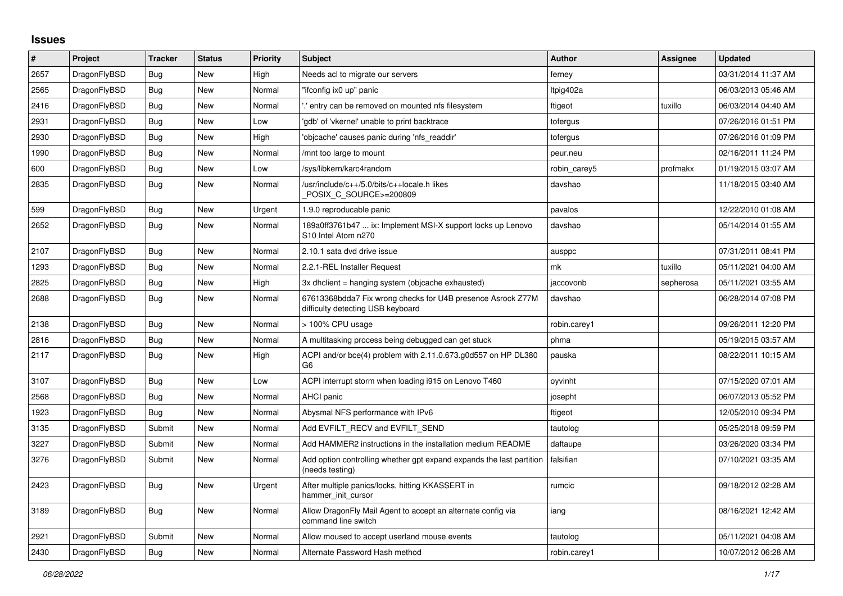## **Issues**

| $\vert$ # | Project      | <b>Tracker</b> | <b>Status</b> | <b>Priority</b> | <b>Subject</b>                                                                                   | Author       | Assignee  | <b>Updated</b>      |
|-----------|--------------|----------------|---------------|-----------------|--------------------------------------------------------------------------------------------------|--------------|-----------|---------------------|
| 2657      | DragonFlyBSD | Bug            | New           | High            | Needs acl to migrate our servers                                                                 | ferney       |           | 03/31/2014 11:37 AM |
| 2565      | DragonFlyBSD | <b>Bug</b>     | New           | Normal          | "ifconfig ix0 up" panic                                                                          | ltpig402a    |           | 06/03/2013 05:46 AM |
| 2416      | DragonFlyBSD | Bug            | New           | Normal          | entry can be removed on mounted nfs filesystem.                                                  | ftigeot      | tuxillo   | 06/03/2014 04:40 AM |
| 2931      | DragonFlyBSD | Bug            | New           | Low             | 'gdb' of 'vkernel' unable to print backtrace                                                     | tofergus     |           | 07/26/2016 01:51 PM |
| 2930      | DragonFlyBSD | Bug            | New           | High            | 'objcache' causes panic during 'nfs readdir'                                                     | tofergus     |           | 07/26/2016 01:09 PM |
| 1990      | DragonFlyBSD | Bug            | New           | Normal          | /mnt too large to mount                                                                          | peur.neu     |           | 02/16/2011 11:24 PM |
| 600       | DragonFlyBSD | Bug            | New           | Low             | /sys/libkern/karc4random                                                                         | robin_carey5 | profmakx  | 01/19/2015 03:07 AM |
| 2835      | DragonFlyBSD | Bug            | New           | Normal          | /usr/include/c++/5.0/bits/c++locale.h likes<br>POSIX_C_SOURCE>=200809                            | davshao      |           | 11/18/2015 03:40 AM |
| 599       | DragonFlyBSD | <b>Bug</b>     | New           | Urgent          | 1.9.0 reproducable panic                                                                         | pavalos      |           | 12/22/2010 01:08 AM |
| 2652      | DragonFlyBSD | Bug            | New           | Normal          | 189a0ff3761b47  ix: Implement MSI-X support locks up Lenovo<br>S10 Intel Atom n270               | davshao      |           | 05/14/2014 01:55 AM |
| 2107      | DragonFlyBSD | <b>Bug</b>     | New           | Normal          | 2.10.1 sata dvd drive issue                                                                      | ausppc       |           | 07/31/2011 08:41 PM |
| 1293      | DragonFlyBSD | Bug            | New           | Normal          | 2.2.1-REL Installer Request                                                                      | mk           | tuxillo   | 05/11/2021 04:00 AM |
| 2825      | DragonFlyBSD | Bug            | New           | High            | 3x dhclient = hanging system (objcache exhausted)                                                | jaccovonb    | sepherosa | 05/11/2021 03:55 AM |
| 2688      | DragonFlyBSD | <b>Bug</b>     | New           | Normal          | 67613368bdda7 Fix wrong checks for U4B presence Asrock Z77M<br>difficulty detecting USB keyboard | davshao      |           | 06/28/2014 07:08 PM |
| 2138      | DragonFlyBSD | <b>Bug</b>     | New           | Normal          | > 100% CPU usage                                                                                 | robin.carey1 |           | 09/26/2011 12:20 PM |
| 2816      | DragonFlyBSD | <b>Bug</b>     | New           | Normal          | A multitasking process being debugged can get stuck                                              | phma         |           | 05/19/2015 03:57 AM |
| 2117      | DragonFlyBSD | Bug            | New           | High            | ACPI and/or bce(4) problem with 2.11.0.673.g0d557 on HP DL380<br>G <sub>6</sub>                  | pauska       |           | 08/22/2011 10:15 AM |
| 3107      | DragonFlyBSD | <b>Bug</b>     | New           | Low             | ACPI interrupt storm when loading i915 on Lenovo T460                                            | oyvinht      |           | 07/15/2020 07:01 AM |
| 2568      | DragonFlyBSD | Bug            | New           | Normal          | <b>AHCI panic</b>                                                                                | josepht      |           | 06/07/2013 05:52 PM |
| 1923      | DragonFlyBSD | <b>Bug</b>     | New           | Normal          | Abysmal NFS performance with IPv6                                                                | ftigeot      |           | 12/05/2010 09:34 PM |
| 3135      | DragonFlyBSD | Submit         | New           | Normal          | Add EVFILT RECV and EVFILT SEND                                                                  | tautolog     |           | 05/25/2018 09:59 PM |
| 3227      | DragonFlyBSD | Submit         | New           | Normal          | Add HAMMER2 instructions in the installation medium README                                       | daftaupe     |           | 03/26/2020 03:34 PM |
| 3276      | DragonFlyBSD | Submit         | New           | Normal          | Add option controlling whether gpt expand expands the last partition<br>(needs testing)          | falsifian    |           | 07/10/2021 03:35 AM |
| 2423      | DragonFlyBSD | Bug            | New           | Urgent          | After multiple panics/locks, hitting KKASSERT in<br>hammer_init_cursor                           | rumcic       |           | 09/18/2012 02:28 AM |
| 3189      | DragonFlyBSD | <b>Bug</b>     | New           | Normal          | Allow DragonFly Mail Agent to accept an alternate config via<br>command line switch              | iang         |           | 08/16/2021 12:42 AM |
| 2921      | DragonFlyBSD | Submit         | New           | Normal          | Allow moused to accept userland mouse events                                                     | tautolog     |           | 05/11/2021 04:08 AM |
| 2430      | DragonFlyBSD | Bug            | New           | Normal          | Alternate Password Hash method                                                                   | robin.carey1 |           | 10/07/2012 06:28 AM |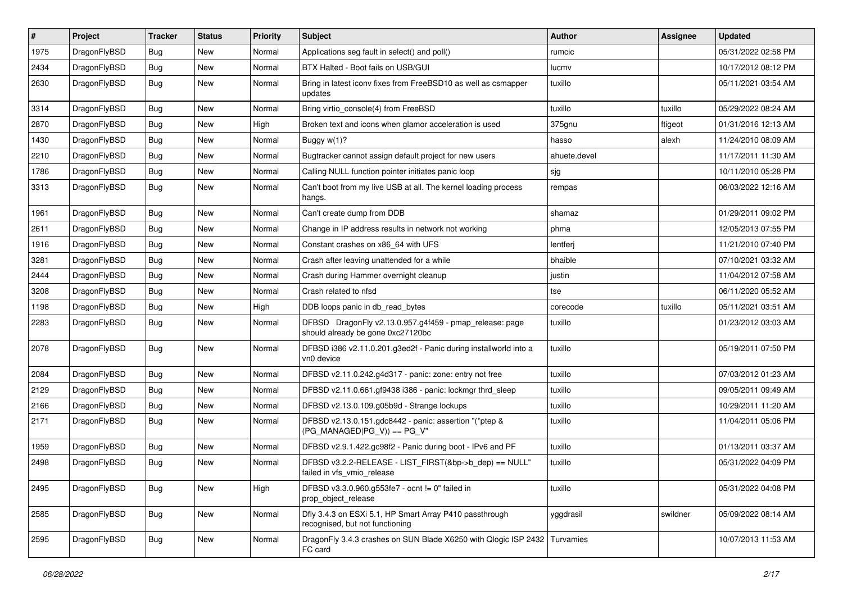| #    | Project      | <b>Tracker</b> | <b>Status</b> | <b>Priority</b> | <b>Subject</b>                                                                               | Author       | Assignee | <b>Updated</b>      |
|------|--------------|----------------|---------------|-----------------|----------------------------------------------------------------------------------------------|--------------|----------|---------------------|
| 1975 | DragonFlyBSD | <b>Bug</b>     | <b>New</b>    | Normal          | Applications seg fault in select() and poll()                                                | rumcic       |          | 05/31/2022 02:58 PM |
| 2434 | DragonFlyBSD | <b>Bug</b>     | <b>New</b>    | Normal          | BTX Halted - Boot fails on USB/GUI                                                           | lucmv        |          | 10/17/2012 08:12 PM |
| 2630 | DragonFlyBSD | Bug            | New           | Normal          | Bring in latest iconv fixes from FreeBSD10 as well as csmapper<br>updates                    | tuxillo      |          | 05/11/2021 03:54 AM |
| 3314 | DragonFlyBSD | Bug            | <b>New</b>    | Normal          | Bring virtio_console(4) from FreeBSD                                                         | tuxillo      | tuxillo  | 05/29/2022 08:24 AM |
| 2870 | DragonFlyBSD | <b>Bug</b>     | New           | High            | Broken text and icons when glamor acceleration is used                                       | 375gnu       | ftigeot  | 01/31/2016 12:13 AM |
| 1430 | DragonFlyBSD | Bug            | <b>New</b>    | Normal          | Buggy w(1)?                                                                                  | hasso        | alexh    | 11/24/2010 08:09 AM |
| 2210 | DragonFlyBSD | <b>Bug</b>     | New           | Normal          | Bugtracker cannot assign default project for new users                                       | ahuete.devel |          | 11/17/2011 11:30 AM |
| 1786 | DragonFlyBSD | <b>Bug</b>     | New           | Normal          | Calling NULL function pointer initiates panic loop                                           | sjg          |          | 10/11/2010 05:28 PM |
| 3313 | DragonFlyBSD | Bug            | <b>New</b>    | Normal          | Can't boot from my live USB at all. The kernel loading process<br>hangs.                     | rempas       |          | 06/03/2022 12:16 AM |
| 1961 | DragonFlyBSD | Bug            | <b>New</b>    | Normal          | Can't create dump from DDB                                                                   | shamaz       |          | 01/29/2011 09:02 PM |
| 2611 | DragonFlyBSD | <b>Bug</b>     | <b>New</b>    | Normal          | Change in IP address results in network not working                                          | phma         |          | 12/05/2013 07:55 PM |
| 1916 | DragonFlyBSD | <b>Bug</b>     | New           | Normal          | Constant crashes on x86 64 with UFS                                                          | lentferj     |          | 11/21/2010 07:40 PM |
| 3281 | DragonFlyBSD | Bug            | <b>New</b>    | Normal          | Crash after leaving unattended for a while                                                   | bhaible      |          | 07/10/2021 03:32 AM |
| 2444 | DragonFlyBSD | <b>Bug</b>     | New           | Normal          | Crash during Hammer overnight cleanup                                                        | justin       |          | 11/04/2012 07:58 AM |
| 3208 | DragonFlyBSD | <b>Bug</b>     | New           | Normal          | Crash related to nfsd                                                                        | tse          |          | 06/11/2020 05:52 AM |
| 1198 | DragonFlyBSD | <b>Bug</b>     | <b>New</b>    | High            | DDB loops panic in db_read_bytes                                                             | corecode     | tuxillo  | 05/11/2021 03:51 AM |
| 2283 | DragonFlyBSD | <b>Bug</b>     | New           | Normal          | DFBSD DragonFly v2.13.0.957.g4f459 - pmap_release: page<br>should already be gone 0xc27120bc | tuxillo      |          | 01/23/2012 03:03 AM |
| 2078 | DragonFlyBSD | Bug            | <b>New</b>    | Normal          | DFBSD i386 v2.11.0.201.g3ed2f - Panic during installworld into a<br>vn0 device               | tuxillo      |          | 05/19/2011 07:50 PM |
| 2084 | DragonFlyBSD | Bug            | New           | Normal          | DFBSD v2.11.0.242.g4d317 - panic: zone: entry not free                                       | tuxillo      |          | 07/03/2012 01:23 AM |
| 2129 | DragonFlyBSD | <b>Bug</b>     | New           | Normal          | DFBSD v2.11.0.661.gf9438 i386 - panic: lockmgr thrd_sleep                                    | tuxillo      |          | 09/05/2011 09:49 AM |
| 2166 | DragonFlyBSD | <b>Bug</b>     | New           | Normal          | DFBSD v2.13.0.109.g05b9d - Strange lockups                                                   | tuxillo      |          | 10/29/2011 11:20 AM |
| 2171 | DragonFlyBSD | Bug            | New           | Normal          | DFBSD v2.13.0.151.gdc8442 - panic: assertion "(*ptep &<br>$(PG$ MANAGED PG_V)) == PG_V"      | tuxillo      |          | 11/04/2011 05:06 PM |
| 1959 | DragonFlyBSD | Bug            | New           | Normal          | DFBSD v2.9.1.422.gc98f2 - Panic during boot - IPv6 and PF                                    | tuxillo      |          | 01/13/2011 03:37 AM |
| 2498 | DragonFlyBSD | Bug            | New           | Normal          | DFBSD v3.2.2-RELEASE - LIST_FIRST(&bp->b_dep) == NULL"<br>failed in vfs vmio release         | tuxillo      |          | 05/31/2022 04:09 PM |
| 2495 | DragonFlyBSD | Bug            | New           | High            | DFBSD v3.3.0.960.g553fe7 - ocnt != 0" failed in<br>prop_object_release                       | tuxillo      |          | 05/31/2022 04:08 PM |
| 2585 | DragonFlyBSD | <b>Bug</b>     | <b>New</b>    | Normal          | Dfly 3.4.3 on ESXi 5.1, HP Smart Array P410 passthrough<br>recognised, but not functioning   | yggdrasil    | swildner | 05/09/2022 08:14 AM |
| 2595 | DragonFlyBSD | <b>Bug</b>     | New           | Normal          | DragonFly 3.4.3 crashes on SUN Blade X6250 with Qlogic ISP 2432<br>FC card                   | Turvamies    |          | 10/07/2013 11:53 AM |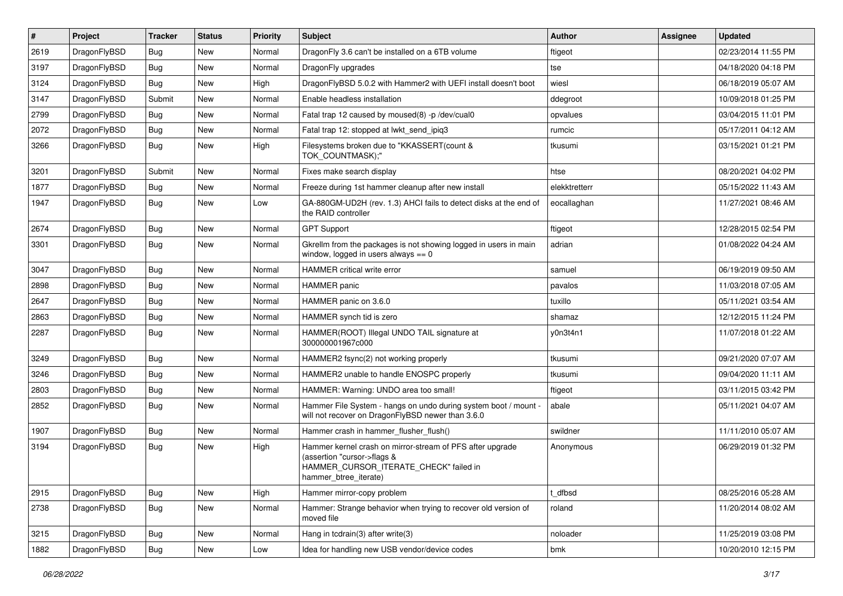| $\vert$ # | Project      | <b>Tracker</b> | <b>Status</b> | <b>Priority</b> | Subject                                                                                                                                                     | Author        | <b>Assignee</b> | <b>Updated</b>      |
|-----------|--------------|----------------|---------------|-----------------|-------------------------------------------------------------------------------------------------------------------------------------------------------------|---------------|-----------------|---------------------|
| 2619      | DragonFlyBSD | Bug            | New           | Normal          | Dragon Fly 3.6 can't be installed on a 6TB volume                                                                                                           | ftigeot       |                 | 02/23/2014 11:55 PM |
| 3197      | DragonFlyBSD | Bug            | <b>New</b>    | Normal          | DragonFly upgrades                                                                                                                                          | tse           |                 | 04/18/2020 04:18 PM |
| 3124      | DragonFlyBSD | <b>Bug</b>     | New           | High            | DragonFlyBSD 5.0.2 with Hammer2 with UEFI install doesn't boot                                                                                              | wiesl         |                 | 06/18/2019 05:07 AM |
| 3147      | DragonFlyBSD | Submit         | New           | Normal          | Enable headless installation                                                                                                                                | ddegroot      |                 | 10/09/2018 01:25 PM |
| 2799      | DragonFlyBSD | <b>Bug</b>     | <b>New</b>    | Normal          | Fatal trap 12 caused by moused(8) -p /dev/cual0                                                                                                             | opvalues      |                 | 03/04/2015 11:01 PM |
| 2072      | DragonFlyBSD | Bug            | New           | Normal          | Fatal trap 12: stopped at lwkt send ipig3                                                                                                                   | rumcic        |                 | 05/17/2011 04:12 AM |
| 3266      | DragonFlyBSD | Bug            | New           | High            | Filesystems broken due to "KKASSERT(count &<br>TOK_COUNTMASK);"                                                                                             | tkusumi       |                 | 03/15/2021 01:21 PM |
| 3201      | DragonFlyBSD | Submit         | <b>New</b>    | Normal          | Fixes make search display                                                                                                                                   | htse          |                 | 08/20/2021 04:02 PM |
| 1877      | DragonFlyBSD | Bug            | New           | Normal          | Freeze during 1st hammer cleanup after new install                                                                                                          | elekktretterr |                 | 05/15/2022 11:43 AM |
| 1947      | DragonFlyBSD | Bug            | New           | Low             | GA-880GM-UD2H (rev. 1.3) AHCI fails to detect disks at the end of<br>the RAID controller                                                                    | eocallaghan   |                 | 11/27/2021 08:46 AM |
| 2674      | DragonFlyBSD | Bug            | <b>New</b>    | Normal          | <b>GPT Support</b>                                                                                                                                          | ftigeot       |                 | 12/28/2015 02:54 PM |
| 3301      | DragonFlyBSD | Bug            | New           | Normal          | Gkrellm from the packages is not showing logged in users in main<br>window, logged in users always $== 0$                                                   | adrian        |                 | 01/08/2022 04:24 AM |
| 3047      | DragonFlyBSD | Bug            | New           | Normal          | HAMMER critical write error                                                                                                                                 | samuel        |                 | 06/19/2019 09:50 AM |
| 2898      | DragonFlyBSD | Bug            | <b>New</b>    | Normal          | <b>HAMMER</b> panic                                                                                                                                         | pavalos       |                 | 11/03/2018 07:05 AM |
| 2647      | DragonFlyBSD | <b>Bug</b>     | <b>New</b>    | Normal          | HAMMER panic on 3.6.0                                                                                                                                       | tuxillo       |                 | 05/11/2021 03:54 AM |
| 2863      | DragonFlyBSD | <b>Bug</b>     | <b>New</b>    | Normal          | HAMMER synch tid is zero                                                                                                                                    | shamaz        |                 | 12/12/2015 11:24 PM |
| 2287      | DragonFlyBSD | Bug            | New           | Normal          | HAMMER(ROOT) Illegal UNDO TAIL signature at<br>300000001967c000                                                                                             | y0n3t4n1      |                 | 11/07/2018 01:22 AM |
| 3249      | DragonFlyBSD | <b>Bug</b>     | New           | Normal          | HAMMER2 fsync(2) not working properly                                                                                                                       | tkusumi       |                 | 09/21/2020 07:07 AM |
| 3246      | DragonFlyBSD | Bug            | <b>New</b>    | Normal          | HAMMER2 unable to handle ENOSPC properly                                                                                                                    | tkusumi       |                 | 09/04/2020 11:11 AM |
| 2803      | DragonFlyBSD | <b>Bug</b>     | New           | Normal          | HAMMER: Warning: UNDO area too small!                                                                                                                       | ftigeot       |                 | 03/11/2015 03:42 PM |
| 2852      | DragonFlyBSD | Bug            | New           | Normal          | Hammer File System - hangs on undo during system boot / mount -<br>will not recover on DragonFlyBSD newer than 3.6.0                                        | abale         |                 | 05/11/2021 04:07 AM |
| 1907      | DragonFlyBSD | Bug            | New           | Normal          | Hammer crash in hammer flusher flush()                                                                                                                      | swildner      |                 | 11/11/2010 05:07 AM |
| 3194      | DragonFlyBSD | Bug            | New           | High            | Hammer kernel crash on mirror-stream of PFS after upgrade<br>(assertion "cursor->flags &<br>HAMMER_CURSOR_ITERATE_CHECK" failed in<br>hammer_btree_iterate) | Anonymous     |                 | 06/29/2019 01:32 PM |
| 2915      | DragonFlyBSD | Bug            | New           | High            | Hammer mirror-copy problem                                                                                                                                  | t_dfbsd       |                 | 08/25/2016 05:28 AM |
| 2738      | DragonFlyBSD | <b>Bug</b>     | New           | Normal          | Hammer: Strange behavior when trying to recover old version of<br>moved file                                                                                | roland        |                 | 11/20/2014 08:02 AM |
| 3215      | DragonFlyBSD | Bug            | New           | Normal          | Hang in tcdrain(3) after write(3)                                                                                                                           | noloader      |                 | 11/25/2019 03:08 PM |
| 1882      | DragonFlyBSD | <b>Bug</b>     | New           | Low             | Idea for handling new USB vendor/device codes                                                                                                               | bmk           |                 | 10/20/2010 12:15 PM |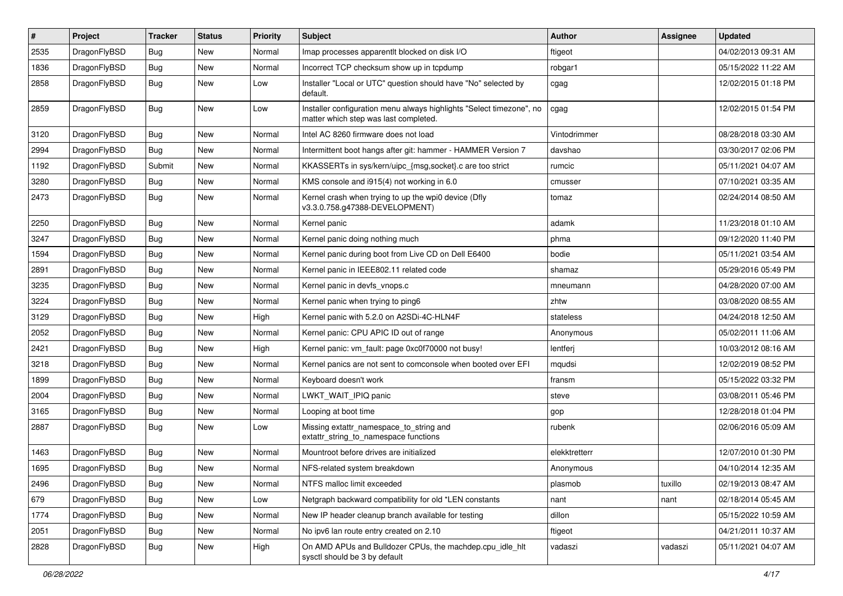| #    | Project      | <b>Tracker</b> | <b>Status</b> | <b>Priority</b> | <b>Subject</b>                                                                                                | Author        | Assignee | <b>Updated</b>      |
|------|--------------|----------------|---------------|-----------------|---------------------------------------------------------------------------------------------------------------|---------------|----------|---------------------|
| 2535 | DragonFlyBSD | <b>Bug</b>     | New           | Normal          | Imap processes apparentlt blocked on disk I/O                                                                 | ftigeot       |          | 04/02/2013 09:31 AM |
| 1836 | DragonFlyBSD | Bug            | New           | Normal          | Incorrect TCP checksum show up in tcpdump                                                                     | robgar1       |          | 05/15/2022 11:22 AM |
| 2858 | DragonFlyBSD | <b>Bug</b>     | <b>New</b>    | Low             | Installer "Local or UTC" question should have "No" selected by<br>default.                                    | cgag          |          | 12/02/2015 01:18 PM |
| 2859 | DragonFlyBSD | Bug            | New           | Low             | Installer configuration menu always highlights "Select timezone", no<br>matter which step was last completed. | cgag          |          | 12/02/2015 01:54 PM |
| 3120 | DragonFlyBSD | Bug            | New           | Normal          | Intel AC 8260 firmware does not load                                                                          | Vintodrimmer  |          | 08/28/2018 03:30 AM |
| 2994 | DragonFlyBSD | <b>Bug</b>     | New           | Normal          | Intermittent boot hangs after git: hammer - HAMMER Version 7                                                  | davshao       |          | 03/30/2017 02:06 PM |
| 1192 | DragonFlyBSD | Submit         | New           | Normal          | KKASSERTs in sys/kern/uipc_{msg,socket}.c are too strict                                                      | rumcic        |          | 05/11/2021 04:07 AM |
| 3280 | DragonFlyBSD | Bug            | New           | Normal          | KMS console and i915(4) not working in 6.0                                                                    | cmusser       |          | 07/10/2021 03:35 AM |
| 2473 | DragonFlyBSD | <b>Bug</b>     | <b>New</b>    | Normal          | Kernel crash when trying to up the wpi0 device (Dfly<br>v3.3.0.758.g47388-DEVELOPMENT)                        | tomaz         |          | 02/24/2014 08:50 AM |
| 2250 | DragonFlyBSD | Bug            | <b>New</b>    | Normal          | Kernel panic                                                                                                  | adamk         |          | 11/23/2018 01:10 AM |
| 3247 | DragonFlyBSD | <b>Bug</b>     | New           | Normal          | Kernel panic doing nothing much                                                                               | phma          |          | 09/12/2020 11:40 PM |
| 1594 | DragonFlyBSD | <b>Bug</b>     | New           | Normal          | Kernel panic during boot from Live CD on Dell E6400                                                           | bodie         |          | 05/11/2021 03:54 AM |
| 2891 | DragonFlyBSD | <b>Bug</b>     | <b>New</b>    | Normal          | Kernel panic in IEEE802.11 related code                                                                       | shamaz        |          | 05/29/2016 05:49 PM |
| 3235 | DragonFlyBSD | Bug            | New           | Normal          | Kernel panic in devfs vnops.c                                                                                 | mneumann      |          | 04/28/2020 07:00 AM |
| 3224 | DragonFlyBSD | Bug            | <b>New</b>    | Normal          | Kernel panic when trying to ping6                                                                             | zhtw          |          | 03/08/2020 08:55 AM |
| 3129 | DragonFlyBSD | Bug            | New           | High            | Kernel panic with 5.2.0 on A2SDi-4C-HLN4F                                                                     | stateless     |          | 04/24/2018 12:50 AM |
| 2052 | DragonFlyBSD | Bug            | <b>New</b>    | Normal          | Kernel panic: CPU APIC ID out of range                                                                        | Anonymous     |          | 05/02/2011 11:06 AM |
| 2421 | DragonFlyBSD | Bug            | New           | High            | Kernel panic: vm_fault: page 0xc0f70000 not busy!                                                             | lentferj      |          | 10/03/2012 08:16 AM |
| 3218 | DragonFlyBSD | Bug            | New           | Normal          | Kernel panics are not sent to comconsole when booted over EFI                                                 | mqudsi        |          | 12/02/2019 08:52 PM |
| 1899 | DragonFlyBSD | Bug            | <b>New</b>    | Normal          | Keyboard doesn't work                                                                                         | fransm        |          | 05/15/2022 03:32 PM |
| 2004 | DragonFlyBSD | Bug            | New           | Normal          | LWKT_WAIT_IPIQ panic                                                                                          | steve         |          | 03/08/2011 05:46 PM |
| 3165 | DragonFlyBSD | Bug            | New           | Normal          | Looping at boot time                                                                                          | gop           |          | 12/28/2018 01:04 PM |
| 2887 | DragonFlyBSD | Bug            | New           | Low             | Missing extattr_namespace_to_string and<br>extattr_string_to_namespace functions                              | rubenk        |          | 02/06/2016 05:09 AM |
| 1463 | DragonFlyBSD | Bug            | <b>New</b>    | Normal          | Mountroot before drives are initialized                                                                       | elekktretterr |          | 12/07/2010 01:30 PM |
| 1695 | DragonFlyBSD | Bug            | New           | Normal          | NFS-related system breakdown                                                                                  | Anonymous     |          | 04/10/2014 12:35 AM |
| 2496 | DragonFlyBSD | <b>Bug</b>     | New           | Normal          | NTFS malloc limit exceeded                                                                                    | plasmob       | tuxillo  | 02/19/2013 08:47 AM |
| 679  | DragonFlyBSD | <b>Bug</b>     | <b>New</b>    | Low             | Netgraph backward compatibility for old *LEN constants                                                        | nant          | nant     | 02/18/2014 05:45 AM |
| 1774 | DragonFlyBSD | <b>Bug</b>     | New           | Normal          | New IP header cleanup branch available for testing                                                            | dillon        |          | 05/15/2022 10:59 AM |
| 2051 | DragonFlyBSD | <b>Bug</b>     | New           | Normal          | No ipv6 lan route entry created on 2.10                                                                       | ftigeot       |          | 04/21/2011 10:37 AM |
| 2828 | DragonFlyBSD | <b>Bug</b>     | New           | High            | On AMD APUs and Bulldozer CPUs, the machdep.cpu idle hlt<br>sysctl should be 3 by default                     | vadaszi       | vadaszi  | 05/11/2021 04:07 AM |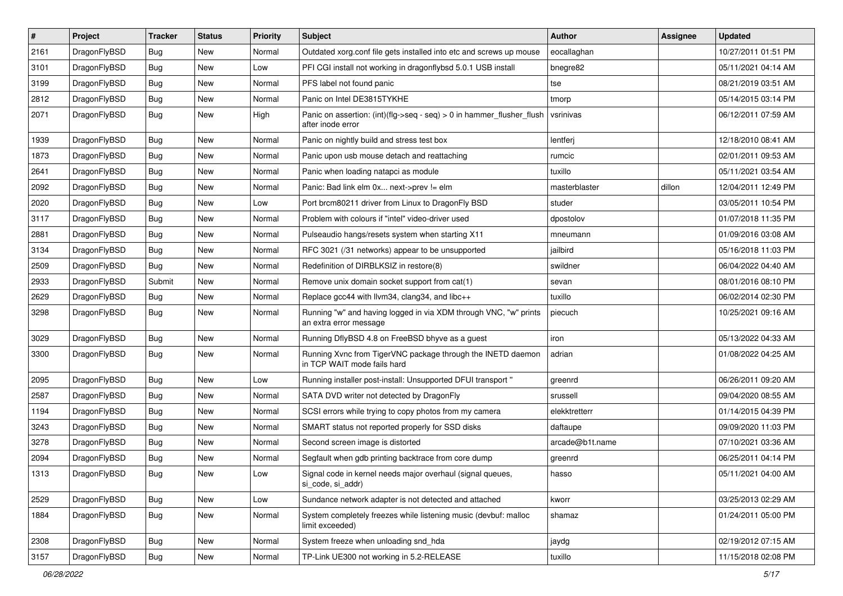| $\#$ | Project      | <b>Tracker</b> | <b>Status</b> | <b>Priority</b> | <b>Subject</b>                                                                             | <b>Author</b>   | Assignee | <b>Updated</b>      |
|------|--------------|----------------|---------------|-----------------|--------------------------------------------------------------------------------------------|-----------------|----------|---------------------|
| 2161 | DragonFlyBSD | <b>Bug</b>     | New           | Normal          | Outdated xorg.conf file gets installed into etc and screws up mouse                        | eocallaghan     |          | 10/27/2011 01:51 PM |
| 3101 | DragonFlyBSD | <b>Bug</b>     | <b>New</b>    | Low             | PFI CGI install not working in dragonflybsd 5.0.1 USB install                              | bnegre82        |          | 05/11/2021 04:14 AM |
| 3199 | DragonFlyBSD | Bug            | New           | Normal          | PFS label not found panic                                                                  | tse             |          | 08/21/2019 03:51 AM |
| 2812 | DragonFlyBSD | Bug            | New           | Normal          | Panic on Intel DE3815TYKHE                                                                 | tmorp           |          | 05/14/2015 03:14 PM |
| 2071 | DragonFlyBSD | Bug            | New           | High            | Panic on assertion: (int)(flg->seq - seq) > 0 in hammer_flusher_flush<br>after inode error | vsrinivas       |          | 06/12/2011 07:59 AM |
| 1939 | DragonFlyBSD | Bug            | <b>New</b>    | Normal          | Panic on nightly build and stress test box                                                 | lentferj        |          | 12/18/2010 08:41 AM |
| 1873 | DragonFlyBSD | Bug            | New           | Normal          | Panic upon usb mouse detach and reattaching                                                | rumcic          |          | 02/01/2011 09:53 AM |
| 2641 | DragonFlyBSD | Bug            | New           | Normal          | Panic when loading natapci as module                                                       | tuxillo         |          | 05/11/2021 03:54 AM |
| 2092 | DragonFlyBSD | <b>Bug</b>     | New           | Normal          | Panic: Bad link elm 0x next->prev != elm                                                   | masterblaster   | dillon   | 12/04/2011 12:49 PM |
| 2020 | DragonFlyBSD | Bug            | New           | Low             | Port brcm80211 driver from Linux to DragonFly BSD                                          | studer          |          | 03/05/2011 10:54 PM |
| 3117 | DragonFlyBSD | Bug            | New           | Normal          | Problem with colours if "intel" video-driver used                                          | dpostolov       |          | 01/07/2018 11:35 PM |
| 2881 | DragonFlyBSD | Bug            | New           | Normal          | Pulseaudio hangs/resets system when starting X11                                           | mneumann        |          | 01/09/2016 03:08 AM |
| 3134 | DragonFlyBSD | <b>Bug</b>     | New           | Normal          | RFC 3021 (/31 networks) appear to be unsupported                                           | jailbird        |          | 05/16/2018 11:03 PM |
| 2509 | DragonFlyBSD | <b>Bug</b>     | New           | Normal          | Redefinition of DIRBLKSIZ in restore(8)                                                    | swildner        |          | 06/04/2022 04:40 AM |
| 2933 | DragonFlyBSD | Submit         | New           | Normal          | Remove unix domain socket support from cat(1)                                              | sevan           |          | 08/01/2016 08:10 PM |
| 2629 | DragonFlyBSD | Bug            | New           | Normal          | Replace gcc44 with llvm34, clang34, and libc++                                             | tuxillo         |          | 06/02/2014 02:30 PM |
| 3298 | DragonFlyBSD | Bug            | New           | Normal          | Running "w" and having logged in via XDM through VNC, "w" prints<br>an extra error message | piecuch         |          | 10/25/2021 09:16 AM |
| 3029 | DragonFlyBSD | <b>Bug</b>     | <b>New</b>    | Normal          | Running DflyBSD 4.8 on FreeBSD bhyve as a guest                                            | iron            |          | 05/13/2022 04:33 AM |
| 3300 | DragonFlyBSD | Bug            | New           | Normal          | Running Xvnc from TigerVNC package through the INETD daemon<br>in TCP WAIT mode fails hard | adrian          |          | 01/08/2022 04:25 AM |
| 2095 | DragonFlyBSD | <b>Bug</b>     | <b>New</b>    | Low             | Running installer post-install: Unsupported DFUI transport "                               | greenrd         |          | 06/26/2011 09:20 AM |
| 2587 | DragonFlyBSD | Bug            | New           | Normal          | SATA DVD writer not detected by DragonFly                                                  | srussell        |          | 09/04/2020 08:55 AM |
| 1194 | DragonFlyBSD | Bug            | New           | Normal          | SCSI errors while trying to copy photos from my camera                                     | elekktretterr   |          | 01/14/2015 04:39 PM |
| 3243 | DragonFlyBSD | <b>Bug</b>     | New           | Normal          | SMART status not reported properly for SSD disks                                           | daftaupe        |          | 09/09/2020 11:03 PM |
| 3278 | DragonFlyBSD | <b>Bug</b>     | New           | Normal          | Second screen image is distorted                                                           | arcade@b1t.name |          | 07/10/2021 03:36 AM |
| 2094 | DragonFlyBSD | Bug            | New           | Normal          | Segfault when gdb printing backtrace from core dump                                        | greenrd         |          | 06/25/2011 04:14 PM |
| 1313 | DragonFlyBSD | Bug            | New           | Low             | Signal code in kernel needs major overhaul (signal queues,<br>si_code, si_addr)            | hasso           |          | 05/11/2021 04:00 AM |
| 2529 | DragonFlyBSD | Bug            | New           | Low             | Sundance network adapter is not detected and attached                                      | kworr           |          | 03/25/2013 02:29 AM |
| 1884 | DragonFlyBSD | <b>Bug</b>     | New           | Normal          | System completely freezes while listening music (devbuf: malloc<br>limit exceeded)         | shamaz          |          | 01/24/2011 05:00 PM |
| 2308 | DragonFlyBSD | <b>Bug</b>     | New           | Normal          | System freeze when unloading snd_hda                                                       | jaydg           |          | 02/19/2012 07:15 AM |
| 3157 | DragonFlyBSD | Bug            | New           | Normal          | TP-Link UE300 not working in 5.2-RELEASE                                                   | tuxillo         |          | 11/15/2018 02:08 PM |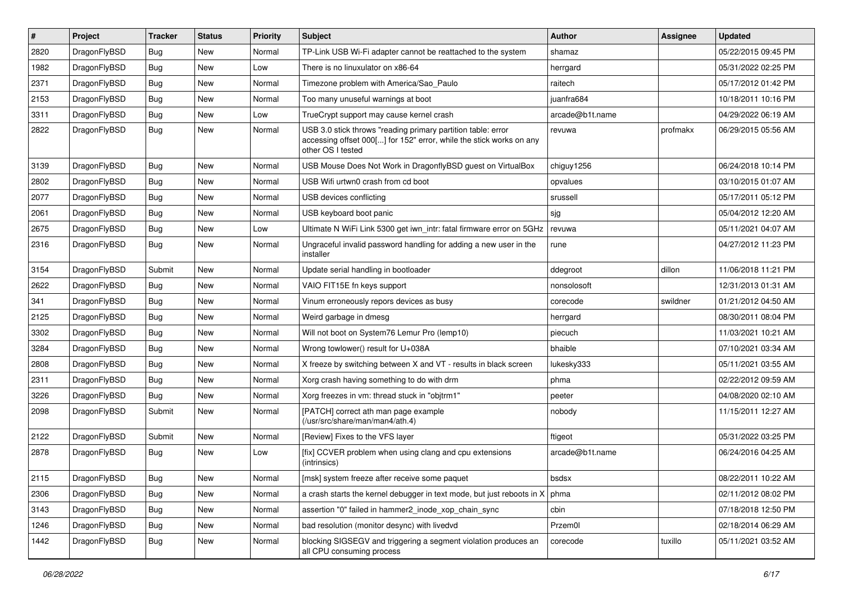| #    | Project      | <b>Tracker</b> | <b>Status</b> | <b>Priority</b> | <b>Subject</b>                                                                                                                                           | Author          | Assignee | <b>Updated</b>      |
|------|--------------|----------------|---------------|-----------------|----------------------------------------------------------------------------------------------------------------------------------------------------------|-----------------|----------|---------------------|
| 2820 | DragonFlyBSD | Bug            | <b>New</b>    | Normal          | TP-Link USB Wi-Fi adapter cannot be reattached to the system                                                                                             | shamaz          |          | 05/22/2015 09:45 PM |
| 1982 | DragonFlyBSD | <b>Bug</b>     | <b>New</b>    | Low             | There is no linuxulator on x86-64                                                                                                                        | herrgard        |          | 05/31/2022 02:25 PM |
| 2371 | DragonFlyBSD | <b>Bug</b>     | <b>New</b>    | Normal          | Timezone problem with America/Sao Paulo                                                                                                                  | raitech         |          | 05/17/2012 01:42 PM |
| 2153 | DragonFlyBSD | Bug            | <b>New</b>    | Normal          | Too many unuseful warnings at boot                                                                                                                       | juanfra684      |          | 10/18/2011 10:16 PM |
| 3311 | DragonFlyBSD | <b>Bug</b>     | <b>New</b>    | Low             | TrueCrypt support may cause kernel crash                                                                                                                 | arcade@b1t.name |          | 04/29/2022 06:19 AM |
| 2822 | DragonFlyBSD | Bug            | New           | Normal          | USB 3.0 stick throws "reading primary partition table: error<br>accessing offset 000[] for 152" error, while the stick works on any<br>other OS I tested | revuwa          | profmakx | 06/29/2015 05:56 AM |
| 3139 | DragonFlyBSD | Bug            | <b>New</b>    | Normal          | USB Mouse Does Not Work in DragonflyBSD guest on VirtualBox                                                                                              | chiguy1256      |          | 06/24/2018 10:14 PM |
| 2802 | DragonFlyBSD | Bug            | <b>New</b>    | Normal          | USB Wifi urtwn0 crash from cd boot                                                                                                                       | opvalues        |          | 03/10/2015 01:07 AM |
| 2077 | DragonFlyBSD | <b>Bug</b>     | <b>New</b>    | Normal          | USB devices conflicting                                                                                                                                  | srussell        |          | 05/17/2011 05:12 PM |
| 2061 | DragonFlyBSD | Bug            | New           | Normal          | USB keyboard boot panic                                                                                                                                  | sjg             |          | 05/04/2012 12:20 AM |
| 2675 | DragonFlyBSD | <b>Bug</b>     | <b>New</b>    | Low             | Ultimate N WiFi Link 5300 get iwn_intr: fatal firmware error on 5GHz                                                                                     | revuwa          |          | 05/11/2021 04:07 AM |
| 2316 | DragonFlyBSD | Bug            | New           | Normal          | Ungraceful invalid password handling for adding a new user in the<br>installer                                                                           | rune            |          | 04/27/2012 11:23 PM |
| 3154 | DragonFlyBSD | Submit         | <b>New</b>    | Normal          | Update serial handling in bootloader                                                                                                                     | ddegroot        | dillon   | 11/06/2018 11:21 PM |
| 2622 | DragonFlyBSD | Bug            | <b>New</b>    | Normal          | VAIO FIT15E fn keys support                                                                                                                              | nonsolosoft     |          | 12/31/2013 01:31 AM |
| 341  | DragonFlyBSD | <b>Bug</b>     | <b>New</b>    | Normal          | Vinum erroneously repors devices as busy                                                                                                                 | corecode        | swildner | 01/21/2012 04:50 AM |
| 2125 | DragonFlyBSD | <b>Bug</b>     | <b>New</b>    | Normal          | Weird garbage in dmesg                                                                                                                                   | herrgard        |          | 08/30/2011 08:04 PM |
| 3302 | DragonFlyBSD | Bug            | New           | Normal          | Will not boot on System76 Lemur Pro (lemp10)                                                                                                             | piecuch         |          | 11/03/2021 10:21 AM |
| 3284 | DragonFlyBSD | <b>Bug</b>     | <b>New</b>    | Normal          | Wrong towlower() result for U+038A                                                                                                                       | bhaible         |          | 07/10/2021 03:34 AM |
| 2808 | DragonFlyBSD | <b>Bug</b>     | <b>New</b>    | Normal          | X freeze by switching between X and VT - results in black screen                                                                                         | lukesky333      |          | 05/11/2021 03:55 AM |
| 2311 | DragonFlyBSD | Bug            | <b>New</b>    | Normal          | Xorg crash having something to do with drm                                                                                                               | phma            |          | 02/22/2012 09:59 AM |
| 3226 | DragonFlyBSD | <b>Bug</b>     | <b>New</b>    | Normal          | Xorg freezes in vm: thread stuck in "objtrm1"                                                                                                            | peeter          |          | 04/08/2020 02:10 AM |
| 2098 | DragonFlyBSD | Submit         | <b>New</b>    | Normal          | [PATCH] correct ath man page example<br>(/usr/src/share/man/man4/ath.4)                                                                                  | nobody          |          | 11/15/2011 12:27 AM |
| 2122 | DragonFlyBSD | Submit         | <b>New</b>    | Normal          | [Review] Fixes to the VFS layer                                                                                                                          | ftigeot         |          | 05/31/2022 03:25 PM |
| 2878 | DragonFlyBSD | Bug            | <b>New</b>    | Low             | [fix] CCVER problem when using clang and cpu extensions<br>(intrinsics)                                                                                  | arcade@b1t.name |          | 06/24/2016 04:25 AM |
| 2115 | DragonFlyBSD | <b>Bug</b>     | New           | Normal          | [msk] system freeze after receive some paquet                                                                                                            | bsdsx           |          | 08/22/2011 10:22 AM |
| 2306 | DragonFlyBSD | Bug            | <b>New</b>    | Normal          | a crash starts the kernel debugger in text mode, but just reboots in X                                                                                   | phma            |          | 02/11/2012 08:02 PM |
| 3143 | DragonFlyBSD | <b>Bug</b>     | New           | Normal          | assertion "0" failed in hammer2 inode xop chain sync                                                                                                     | cbin            |          | 07/18/2018 12:50 PM |
| 1246 | DragonFlyBSD | <b>Bug</b>     | New           | Normal          | bad resolution (monitor desync) with livedvd                                                                                                             | Przem0l         |          | 02/18/2014 06:29 AM |
| 1442 | DragonFlyBSD | Bug            | New           | Normal          | blocking SIGSEGV and triggering a segment violation produces an<br>all CPU consuming process                                                             | corecode        | tuxillo  | 05/11/2021 03:52 AM |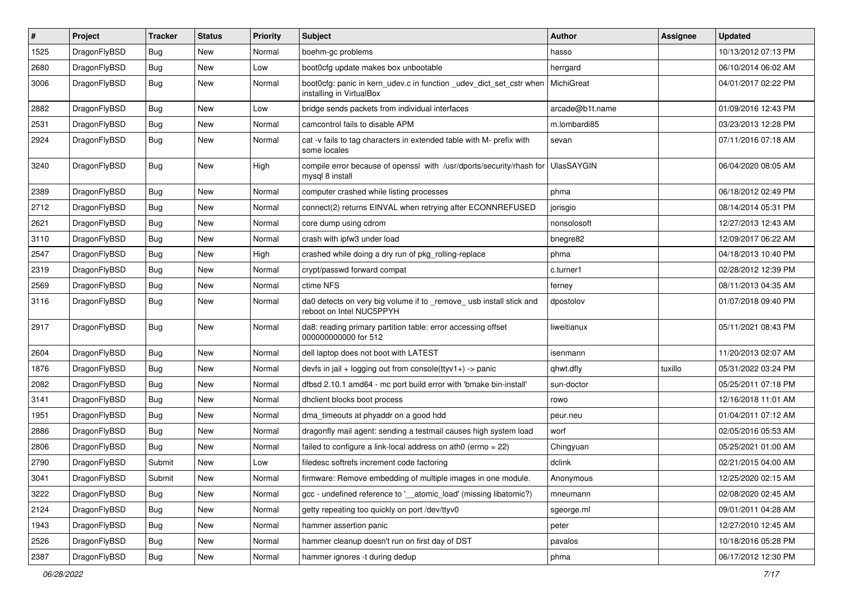| #    | Project      | <b>Tracker</b> | <b>Status</b> | <b>Priority</b> | <b>Subject</b>                                                                                  | Author            | Assignee | <b>Updated</b>      |
|------|--------------|----------------|---------------|-----------------|-------------------------------------------------------------------------------------------------|-------------------|----------|---------------------|
| 1525 | DragonFlyBSD | <b>Bug</b>     | New           | Normal          | boehm-gc problems                                                                               | hasso             |          | 10/13/2012 07:13 PM |
| 2680 | DragonFlyBSD | <b>Bug</b>     | New           | Low             | boot0cfg update makes box unbootable                                                            | herrgard          |          | 06/10/2014 06:02 AM |
| 3006 | DragonFlyBSD | <b>Bug</b>     | New           | Normal          | boot0cfg: panic in kern_udev.c in function _udev_dict_set_cstr when<br>installing in VirtualBox | MichiGreat        |          | 04/01/2017 02:22 PM |
| 2882 | DragonFlyBSD | <b>Bug</b>     | <b>New</b>    | Low             | bridge sends packets from individual interfaces                                                 | arcade@b1t.name   |          | 01/09/2016 12:43 PM |
| 2531 | DragonFlyBSD | <b>Bug</b>     | New           | Normal          | camcontrol fails to disable APM                                                                 | m.lombardi85      |          | 03/23/2013 12:28 PM |
| 2924 | DragonFlyBSD | <b>Bug</b>     | New           | Normal          | cat -v fails to tag characters in extended table with M- prefix with<br>some locales            | sevan             |          | 07/11/2016 07:18 AM |
| 3240 | DragonFlyBSD | <b>Bug</b>     | New           | High            | compile error because of openssl with /usr/dports/security/rhash for<br>mysql 8 install         | <b>UlasSAYGIN</b> |          | 06/04/2020 08:05 AM |
| 2389 | DragonFlyBSD | <b>Bug</b>     | New           | Normal          | computer crashed while listing processes                                                        | phma              |          | 06/18/2012 02:49 PM |
| 2712 | DragonFlyBSD | <b>Bug</b>     | New           | Normal          | connect(2) returns EINVAL when retrying after ECONNREFUSED                                      | jorisgio          |          | 08/14/2014 05:31 PM |
| 2621 | DragonFlyBSD | <b>Bug</b>     | <b>New</b>    | Normal          | core dump using cdrom                                                                           | nonsolosoft       |          | 12/27/2013 12:43 AM |
| 3110 | DragonFlyBSD | <b>Bug</b>     | New           | Normal          | crash with ipfw3 under load                                                                     | bnegre82          |          | 12/09/2017 06:22 AM |
| 2547 | DragonFlyBSD | <b>Bug</b>     | New           | High            | crashed while doing a dry run of pkg_rolling-replace                                            | phma              |          | 04/18/2013 10:40 PM |
| 2319 | DragonFlyBSD | <b>Bug</b>     | <b>New</b>    | Normal          | crypt/passwd forward compat                                                                     | c.turner1         |          | 02/28/2012 12:39 PM |
| 2569 | DragonFlyBSD | <b>Bug</b>     | New           | Normal          | ctime NFS                                                                                       | ferney            |          | 08/11/2013 04:35 AM |
| 3116 | DragonFlyBSD | <b>Bug</b>     | New           | Normal          | da0 detects on very big volume if to _remove_ usb install stick and<br>reboot on Intel NUC5PPYH | dpostolov         |          | 01/07/2018 09:40 PM |
| 2917 | DragonFlyBSD | <b>Bug</b>     | New           | Normal          | da8: reading primary partition table: error accessing offset<br>000000000000 for 512            | liweitianux       |          | 05/11/2021 08:43 PM |
| 2604 | DragonFlyBSD | <b>Bug</b>     | New           | Normal          | dell laptop does not boot with LATEST                                                           | isenmann          |          | 11/20/2013 02:07 AM |
| 1876 | DragonFlyBSD | <b>Bug</b>     | New           | Normal          | devfs in jail + logging out from console(ttyv1+) -> panic                                       | qhwt.dfly         | tuxillo  | 05/31/2022 03:24 PM |
| 2082 | DragonFlyBSD | Bug            | New           | Normal          | dfbsd 2.10.1 amd64 - mc port build error with 'bmake bin-install'                               | sun-doctor        |          | 05/25/2011 07:18 PM |
| 3141 | DragonFlyBSD | Bug            | New           | Normal          | dhclient blocks boot process                                                                    | rowo              |          | 12/16/2018 11:01 AM |
| 1951 | DragonFlyBSD | Bug            | <b>New</b>    | Normal          | dma_timeouts at phyaddr on a good hdd                                                           | peur.neu          |          | 01/04/2011 07:12 AM |
| 2886 | DragonFlyBSD | Bug            | New           | Normal          | dragonfly mail agent: sending a testmail causes high system load                                | worf              |          | 02/05/2016 05:53 AM |
| 2806 | DragonFlyBSD | Bug            | New           | Normal          | failed to configure a link-local address on ath0 (errno = 22)                                   | Chingyuan         |          | 05/25/2021 01:00 AM |
| 2790 | DragonFlyBSD | Submit         | New           | Low             | filedesc softrefs increment code factoring                                                      | dclink            |          | 02/21/2015 04:00 AM |
| 3041 | DragonFlyBSD | Submit         | New           | Normal          | firmware: Remove embedding of multiple images in one module.                                    | Anonymous         |          | 12/25/2020 02:15 AM |
| 3222 | DragonFlyBSD | <b>Bug</b>     | New           | Normal          | gcc - undefined reference to '__atomic_load' (missing libatomic?)                               | mneumann          |          | 02/08/2020 02:45 AM |
| 2124 | DragonFlyBSD | <b>Bug</b>     | New           | Normal          | getty repeating too quickly on port /dev/ttyv0                                                  | sgeorge.ml        |          | 09/01/2011 04:28 AM |
| 1943 | DragonFlyBSD | <b>Bug</b>     | New           | Normal          | hammer assertion panic                                                                          | peter             |          | 12/27/2010 12:45 AM |
| 2526 | DragonFlyBSD | <b>Bug</b>     | <b>New</b>    | Normal          | hammer cleanup doesn't run on first day of DST                                                  | pavalos           |          | 10/18/2016 05:28 PM |
| 2387 | DragonFlyBSD | <b>Bug</b>     | New           | Normal          | hammer ignores -t during dedup                                                                  | phma              |          | 06/17/2012 12:30 PM |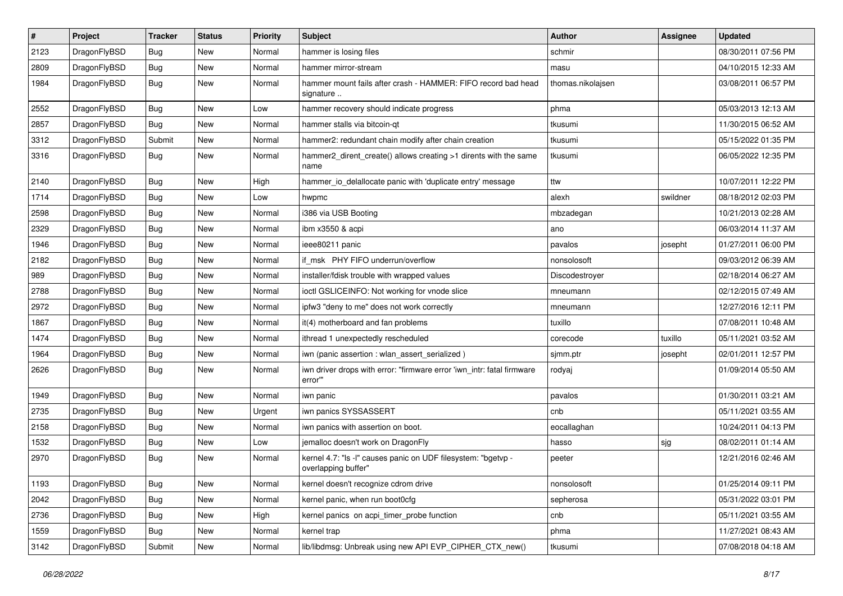| $\sharp$ | Project      | <b>Tracker</b> | <b>Status</b> | <b>Priority</b> | Subject                                                                              | <b>Author</b>     | Assignee | <b>Updated</b>      |
|----------|--------------|----------------|---------------|-----------------|--------------------------------------------------------------------------------------|-------------------|----------|---------------------|
| 2123     | DragonFlyBSD | Bug            | New           | Normal          | hammer is losing files                                                               | schmir            |          | 08/30/2011 07:56 PM |
| 2809     | DragonFlyBSD | Bug            | New           | Normal          | hammer mirror-stream                                                                 | masu              |          | 04/10/2015 12:33 AM |
| 1984     | DragonFlyBSD | Bug            | <b>New</b>    | Normal          | hammer mount fails after crash - HAMMER: FIFO record bad head<br>signature           | thomas.nikolajsen |          | 03/08/2011 06:57 PM |
| 2552     | DragonFlyBSD | Bug            | <b>New</b>    | Low             | hammer recovery should indicate progress                                             | phma              |          | 05/03/2013 12:13 AM |
| 2857     | DragonFlyBSD | Bug            | New           | Normal          | hammer stalls via bitcoin-qt                                                         | tkusumi           |          | 11/30/2015 06:52 AM |
| 3312     | DragonFlyBSD | Submit         | <b>New</b>    | Normal          | hammer2: redundant chain modify after chain creation                                 | tkusumi           |          | 05/15/2022 01:35 PM |
| 3316     | DragonFlyBSD | Bug            | New           | Normal          | hammer2_dirent_create() allows creating >1 dirents with the same<br>name             | tkusumi           |          | 06/05/2022 12:35 PM |
| 2140     | DragonFlyBSD | Bug            | New           | High            | hammer_io_delallocate panic with 'duplicate entry' message                           | ttw               |          | 10/07/2011 12:22 PM |
| 1714     | DragonFlyBSD | Bug            | <b>New</b>    | Low             | hwpmc                                                                                | alexh             | swildner | 08/18/2012 02:03 PM |
| 2598     | DragonFlyBSD | Bug            | New           | Normal          | i386 via USB Booting                                                                 | mbzadegan         |          | 10/21/2013 02:28 AM |
| 2329     | DragonFlyBSD | Bug            | <b>New</b>    | Normal          | ibm x3550 & acpi                                                                     | ano               |          | 06/03/2014 11:37 AM |
| 1946     | DragonFlyBSD | Bug            | New           | Normal          | ieee80211 panic                                                                      | pavalos           | josepht  | 01/27/2011 06:00 PM |
| 2182     | DragonFlyBSD | Bug            | New           | Normal          | if msk PHY FIFO underrun/overflow                                                    | nonsolosoft       |          | 09/03/2012 06:39 AM |
| 989      | DragonFlyBSD | Bug            | <b>New</b>    | Normal          | installer/fdisk trouble with wrapped values                                          | Discodestroyer    |          | 02/18/2014 06:27 AM |
| 2788     | DragonFlyBSD | Bug            | <b>New</b>    | Normal          | ioctl GSLICEINFO: Not working for vnode slice                                        | mneumann          |          | 02/12/2015 07:49 AM |
| 2972     | DragonFlyBSD | Bug            | <b>New</b>    | Normal          | ipfw3 "deny to me" does not work correctly                                           | mneumann          |          | 12/27/2016 12:11 PM |
| 1867     | DragonFlyBSD | Bug            | New           | Normal          | it(4) motherboard and fan problems                                                   | tuxillo           |          | 07/08/2011 10:48 AM |
| 1474     | DragonFlyBSD | Bug            | New           | Normal          | ithread 1 unexpectedly rescheduled                                                   | corecode          | tuxillo  | 05/11/2021 03:52 AM |
| 1964     | DragonFlyBSD | Bug            | New           | Normal          | iwn (panic assertion : wlan assert serialized)                                       | sjmm.ptr          | josepht  | 02/01/2011 12:57 PM |
| 2626     | DragonFlyBSD | Bug            | New           | Normal          | iwn driver drops with error: "firmware error 'iwn_intr: fatal firmware<br>error""    | rodyaj            |          | 01/09/2014 05:50 AM |
| 1949     | DragonFlyBSD | Bug            | <b>New</b>    | Normal          | iwn panic                                                                            | pavalos           |          | 01/30/2011 03:21 AM |
| 2735     | DragonFlyBSD | Bug            | <b>New</b>    | Urgent          | iwn panics SYSSASSERT                                                                | cnb               |          | 05/11/2021 03:55 AM |
| 2158     | DragonFlyBSD | Bug            | <b>New</b>    | Normal          | iwn panics with assertion on boot.                                                   | eocallaghan       |          | 10/24/2011 04:13 PM |
| 1532     | DragonFlyBSD | <b>Bug</b>     | <b>New</b>    | Low             | jemalloc doesn't work on DragonFly                                                   | hasso             | sjg      | 08/02/2011 01:14 AM |
| 2970     | DragonFlyBSD | Bug            | New           | Normal          | kernel 4.7: "Is -l" causes panic on UDF filesystem: "bgetvp -<br>overlapping buffer" | peeter            |          | 12/21/2016 02:46 AM |
| 1193     | DragonFlyBSD | <b>Bug</b>     | New           | Normal          | kernel doesn't recognize cdrom drive                                                 | nonsolosoft       |          | 01/25/2014 09:11 PM |
| 2042     | DragonFlyBSD | <b>Bug</b>     | <b>New</b>    | Normal          | kernel panic, when run boot0cfg                                                      | sepherosa         |          | 05/31/2022 03:01 PM |
| 2736     | DragonFlyBSD | <b>Bug</b>     | New           | High            | kernel panics on acpi_timer_probe function                                           | cnb               |          | 05/11/2021 03:55 AM |
| 1559     | DragonFlyBSD | <b>Bug</b>     | New           | Normal          | kernel trap                                                                          | phma              |          | 11/27/2021 08:43 AM |
| 3142     | DragonFlyBSD | Submit         | New           | Normal          | lib/libdmsg: Unbreak using new API EVP_CIPHER_CTX_new()                              | tkusumi           |          | 07/08/2018 04:18 AM |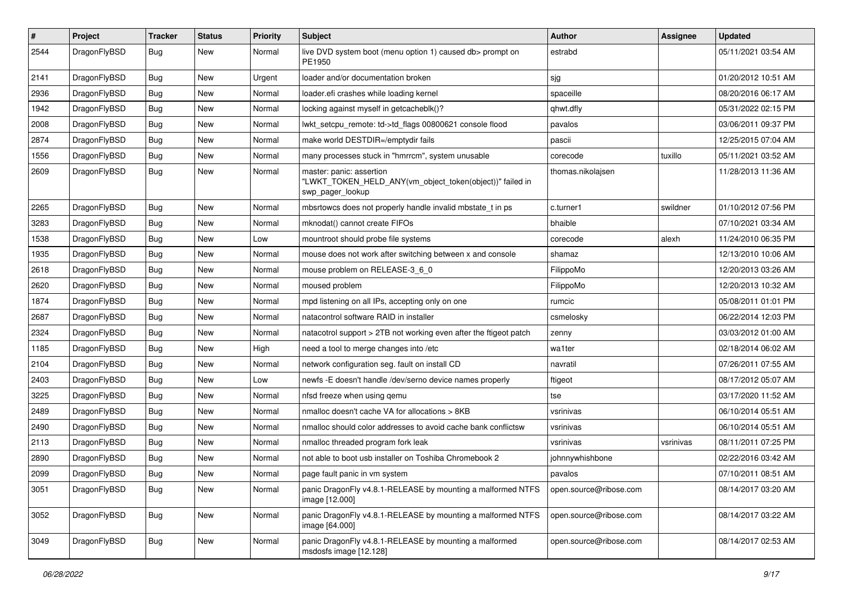| #    | Project      | <b>Tracker</b> | <b>Status</b> | <b>Priority</b> | <b>Subject</b>                                                                                           | Author                 | Assignee  | <b>Updated</b>      |
|------|--------------|----------------|---------------|-----------------|----------------------------------------------------------------------------------------------------------|------------------------|-----------|---------------------|
| 2544 | DragonFlyBSD | Bug            | New           | Normal          | live DVD system boot (menu option 1) caused db> prompt on<br>PE1950                                      | estrabd                |           | 05/11/2021 03:54 AM |
| 2141 | DragonFlyBSD | <b>Bug</b>     | <b>New</b>    | Urgent          | loader and/or documentation broken                                                                       | sjg                    |           | 01/20/2012 10:51 AM |
| 2936 | DragonFlyBSD | Bug            | <b>New</b>    | Normal          | loader.efi crashes while loading kernel                                                                  | spaceille              |           | 08/20/2016 06:17 AM |
| 1942 | DragonFlyBSD | <b>Bug</b>     | <b>New</b>    | Normal          | locking against myself in getcacheblk()?                                                                 | qhwt.dfly              |           | 05/31/2022 02:15 PM |
| 2008 | DragonFlyBSD | <b>Bug</b>     | New           | Normal          | lwkt_setcpu_remote: td->td_flags 00800621 console flood                                                  | pavalos                |           | 03/06/2011 09:37 PM |
| 2874 | DragonFlyBSD | Bug            | <b>New</b>    | Normal          | make world DESTDIR=/emptydir fails                                                                       | pascii                 |           | 12/25/2015 07:04 AM |
| 1556 | DragonFlyBSD | <b>Bug</b>     | New           | Normal          | many processes stuck in "hmrrcm", system unusable                                                        | corecode               | tuxillo   | 05/11/2021 03:52 AM |
| 2609 | DragonFlyBSD | Bug            | <b>New</b>    | Normal          | master: panic: assertion<br>"LWKT_TOKEN_HELD_ANY(vm_object_token(object))" failed in<br>swp_pager_lookup | thomas.nikolajsen      |           | 11/28/2013 11:36 AM |
| 2265 | DragonFlyBSD | Bug            | <b>New</b>    | Normal          | mbsrtowcs does not properly handle invalid mbstate_t in ps                                               | c.turner1              | swildner  | 01/10/2012 07:56 PM |
| 3283 | DragonFlyBSD | <b>Bug</b>     | <b>New</b>    | Normal          | mknodat() cannot create FIFOs                                                                            | bhaible                |           | 07/10/2021 03:34 AM |
| 1538 | DragonFlyBSD | <b>Bug</b>     | New           | Low             | mountroot should probe file systems                                                                      | corecode               | alexh     | 11/24/2010 06:35 PM |
| 1935 | DragonFlyBSD | Bug            | <b>New</b>    | Normal          | mouse does not work after switching between x and console                                                | shamaz                 |           | 12/13/2010 10:06 AM |
| 2618 | DragonFlyBSD | <b>Bug</b>     | New           | Normal          | mouse problem on RELEASE-3 6 0                                                                           | FilippoMo              |           | 12/20/2013 03:26 AM |
| 2620 | DragonFlyBSD | Bug            | <b>New</b>    | Normal          | moused problem                                                                                           | FilippoMo              |           | 12/20/2013 10:32 AM |
| 1874 | DragonFlyBSD | Bug            | <b>New</b>    | Normal          | mpd listening on all IPs, accepting only on one                                                          | rumcic                 |           | 05/08/2011 01:01 PM |
| 2687 | DragonFlyBSD | Bug            | <b>New</b>    | Normal          | natacontrol software RAID in installer                                                                   | csmelosky              |           | 06/22/2014 12:03 PM |
| 2324 | DragonFlyBSD | Bug            | <b>New</b>    | Normal          | natacotrol support > 2TB not working even after the ftigeot patch                                        | zenny                  |           | 03/03/2012 01:00 AM |
| 1185 | DragonFlyBSD | <b>Bug</b>     | New           | High            | need a tool to merge changes into /etc                                                                   | wa1ter                 |           | 02/18/2014 06:02 AM |
| 2104 | DragonFlyBSD | Bug            | <b>New</b>    | Normal          | network configuration seg. fault on install CD                                                           | navratil               |           | 07/26/2011 07:55 AM |
| 2403 | DragonFlyBSD | <b>Bug</b>     | <b>New</b>    | Low             | newfs -E doesn't handle /dev/serno device names properly                                                 | ftigeot                |           | 08/17/2012 05:07 AM |
| 3225 | DragonFlyBSD | <b>Bug</b>     | New           | Normal          | nfsd freeze when using qemu                                                                              | tse                    |           | 03/17/2020 11:52 AM |
| 2489 | DragonFlyBSD | Bug            | New           | Normal          | nmalloc doesn't cache VA for allocations > 8KB                                                           | vsrinivas              |           | 06/10/2014 05:51 AM |
| 2490 | DragonFlyBSD | Bug            | <b>New</b>    | Normal          | nmalloc should color addresses to avoid cache bank conflictsw                                            | vsrinivas              |           | 06/10/2014 05:51 AM |
| 2113 | DragonFlyBSD | <b>Bug</b>     | New           | Normal          | nmalloc threaded program fork leak                                                                       | vsrinivas              | vsrinivas | 08/11/2011 07:25 PM |
| 2890 | DragonFlyBSD | Bug            | New           | Normal          | not able to boot usb installer on Toshiba Chromebook 2                                                   | johnnywhishbone        |           | 02/22/2016 03:42 AM |
| 2099 | DragonFlyBSD | Bug            | New           | Normal          | page fault panic in vm system                                                                            | pavalos                |           | 07/10/2011 08:51 AM |
| 3051 | DragonFlyBSD | Bug            | New           | Normal          | panic DragonFly v4.8.1-RELEASE by mounting a malformed NTFS<br>image [12.000]                            | open.source@ribose.com |           | 08/14/2017 03:20 AM |
| 3052 | DragonFlyBSD | Bug            | New           | Normal          | panic DragonFly v4.8.1-RELEASE by mounting a malformed NTFS<br>image [64.000]                            | open.source@ribose.com |           | 08/14/2017 03:22 AM |
| 3049 | DragonFlyBSD | <b>Bug</b>     | New           | Normal          | panic DragonFly v4.8.1-RELEASE by mounting a malformed<br>msdosfs image [12.128]                         | open.source@ribose.com |           | 08/14/2017 02:53 AM |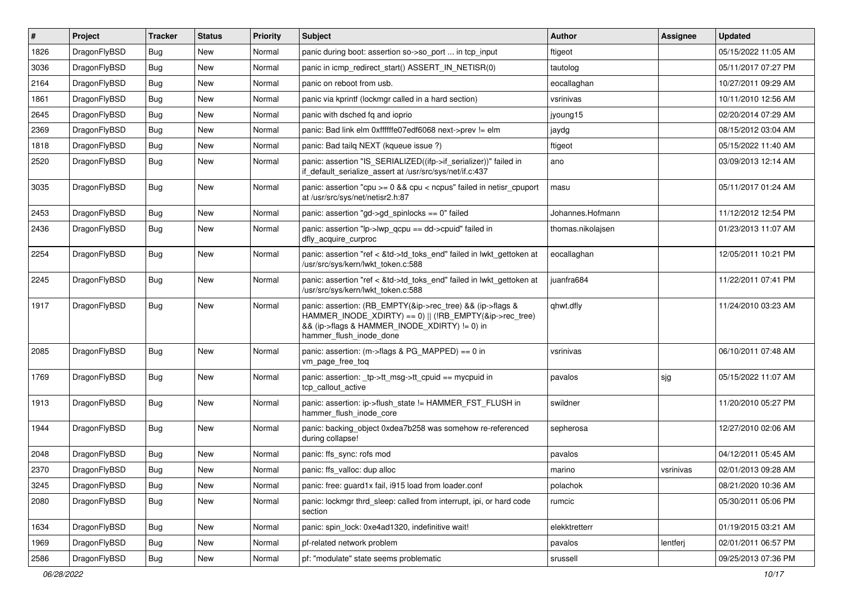| $\vert$ # | Project      | <b>Tracker</b> | <b>Status</b> | <b>Priority</b> | <b>Subject</b>                                                                                                                                                                                    | Author            | Assignee  | <b>Updated</b>      |
|-----------|--------------|----------------|---------------|-----------------|---------------------------------------------------------------------------------------------------------------------------------------------------------------------------------------------------|-------------------|-----------|---------------------|
| 1826      | DragonFlyBSD | <b>Bug</b>     | <b>New</b>    | Normal          | panic during boot: assertion so->so_port  in tcp_input                                                                                                                                            | ftigeot           |           | 05/15/2022 11:05 AM |
| 3036      | DragonFlyBSD | <b>Bug</b>     | <b>New</b>    | Normal          | panic in icmp_redirect_start() ASSERT_IN_NETISR(0)                                                                                                                                                | tautolog          |           | 05/11/2017 07:27 PM |
| 2164      | DragonFlyBSD | <b>Bug</b>     | New           | Normal          | panic on reboot from usb.                                                                                                                                                                         | eocallaghan       |           | 10/27/2011 09:29 AM |
| 1861      | DragonFlyBSD | Bug            | <b>New</b>    | Normal          | panic via kprintf (lockmgr called in a hard section)                                                                                                                                              | vsrinivas         |           | 10/11/2010 12:56 AM |
| 2645      | DragonFlyBSD | Bug            | <b>New</b>    | Normal          | panic with dsched fq and ioprio                                                                                                                                                                   | jyoung15          |           | 02/20/2014 07:29 AM |
| 2369      | DragonFlyBSD | <b>Bug</b>     | New           | Normal          | panic: Bad link elm 0xffffffe07edf6068 next->prev != elm                                                                                                                                          | jaydg             |           | 08/15/2012 03:04 AM |
| 1818      | DragonFlyBSD | Bug            | <b>New</b>    | Normal          | panic: Bad tailq NEXT (kqueue issue ?)                                                                                                                                                            | ftigeot           |           | 05/15/2022 11:40 AM |
| 2520      | DragonFlyBSD | Bug            | New           | Normal          | panic: assertion "IS_SERIALIZED((ifp->if_serializer))" failed in<br>if default serialize assert at /usr/src/sys/net/if.c:437                                                                      | ano               |           | 03/09/2013 12:14 AM |
| 3035      | DragonFlyBSD | <b>Bug</b>     | New           | Normal          | panic: assertion "cpu >= 0 && cpu < ncpus" failed in netisr_cpuport<br>at /usr/src/sys/net/netisr2.h:87                                                                                           | masu              |           | 05/11/2017 01:24 AM |
| 2453      | DragonFlyBSD | Bug            | <b>New</b>    | Normal          | panic: assertion "gd->gd spinlocks == $0$ " failed                                                                                                                                                | Johannes.Hofmann  |           | 11/12/2012 12:54 PM |
| 2436      | DragonFlyBSD | Bug            | <b>New</b>    | Normal          | panic: assertion "lp->lwp_qcpu == dd->cpuid" failed in<br>dfly_acquire_curproc                                                                                                                    | thomas.nikolajsen |           | 01/23/2013 11:07 AM |
| 2254      | DragonFlyBSD | Bug            | <b>New</b>    | Normal          | panic: assertion "ref < &td->td_toks_end" failed in lwkt_gettoken at<br>/usr/src/sys/kern/lwkt_token.c:588                                                                                        | eocallaghan       |           | 12/05/2011 10:21 PM |
| 2245      | DragonFlyBSD | Bug            | New           | Normal          | panic: assertion "ref < &td->td_toks_end" failed in lwkt_gettoken at<br>/usr/src/sys/kern/lwkt_token.c:588                                                                                        | juanfra684        |           | 11/22/2011 07:41 PM |
| 1917      | DragonFlyBSD | <b>Bug</b>     | New           | Normal          | panic: assertion: (RB_EMPTY(&ip->rec_tree) && (ip->flags &<br>HAMMER_INODE_XDIRTY) == 0)    (!RB_EMPTY(&ip->rec_tree)<br>&& (ip->flags & HAMMER_INODE_XDIRTY) != 0) in<br>hammer_flush_inode_done | qhwt.dfly         |           | 11/24/2010 03:23 AM |
| 2085      | DragonFlyBSD | Bug            | <b>New</b>    | Normal          | panic: assertion: (m->flags & PG_MAPPED) == 0 in<br>vm_page_free_toq                                                                                                                              | vsrinivas         |           | 06/10/2011 07:48 AM |
| 1769      | DragonFlyBSD | Bug            | New           | Normal          | panic: assertion: _tp->tt_msg->tt_cpuid == mycpuid in<br>tcp_callout_active                                                                                                                       | pavalos           | sjg       | 05/15/2022 11:07 AM |
| 1913      | DragonFlyBSD | Bug            | New           | Normal          | panic: assertion: ip->flush_state != HAMMER_FST_FLUSH in<br>hammer flush inode core                                                                                                               | swildner          |           | 11/20/2010 05:27 PM |
| 1944      | DragonFlyBSD | Bug            | <b>New</b>    | Normal          | panic: backing_object 0xdea7b258 was somehow re-referenced<br>during collapse!                                                                                                                    | sepherosa         |           | 12/27/2010 02:06 AM |
| 2048      | DragonFlyBSD | <b>Bug</b>     | <b>New</b>    | Normal          | panic: ffs_sync: rofs mod                                                                                                                                                                         | pavalos           |           | 04/12/2011 05:45 AM |
| 2370      | DragonFlyBSD | <b>Bug</b>     | New           | Normal          | panic: ffs_valloc: dup alloc                                                                                                                                                                      | marino            | vsrinivas | 02/01/2013 09:28 AM |
| 3245      | DragonFlyBSD | <b>Bug</b>     | New           | Normal          | panic: free: guard1x fail, i915 load from loader.conf                                                                                                                                             | polachok          |           | 08/21/2020 10:36 AM |
| 2080      | DragonFlyBSD | <b>Bug</b>     | New           | Normal          | panic: lockmgr thrd sleep: called from interrupt, ipi, or hard code<br>section                                                                                                                    | rumcic            |           | 05/30/2011 05:06 PM |
| 1634      | DragonFlyBSD | Bug            | New           | Normal          | panic: spin lock: 0xe4ad1320, indefinitive wait!                                                                                                                                                  | elekktretterr     |           | 01/19/2015 03:21 AM |
| 1969      | DragonFlyBSD | Bug            | New           | Normal          | pf-related network problem                                                                                                                                                                        | pavalos           | lentferj  | 02/01/2011 06:57 PM |
| 2586      | DragonFlyBSD | <b>Bug</b>     | New           | Normal          | pf: "modulate" state seems problematic                                                                                                                                                            | srussell          |           | 09/25/2013 07:36 PM |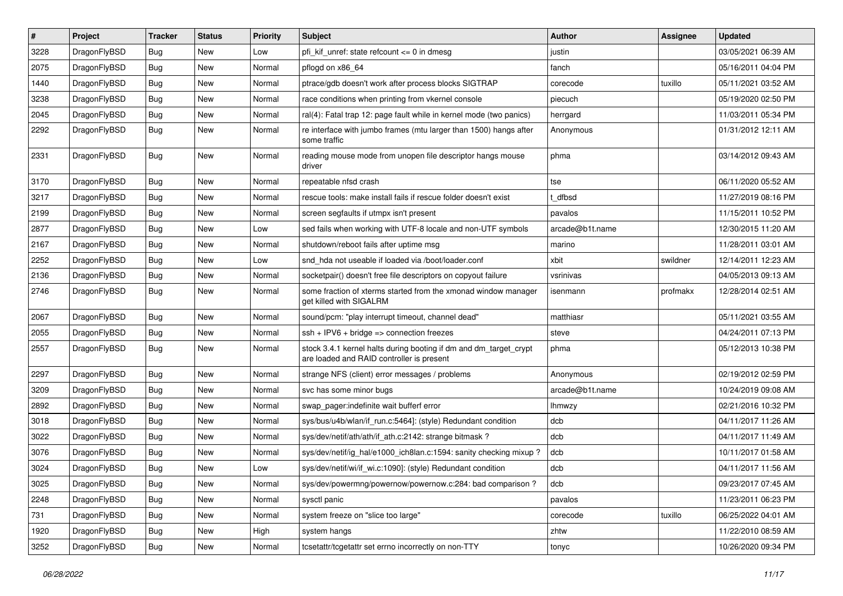| $\vert$ # | Project      | <b>Tracker</b> | <b>Status</b> | <b>Priority</b> | <b>Subject</b>                                                                                                 | Author          | Assignee | <b>Updated</b>      |
|-----------|--------------|----------------|---------------|-----------------|----------------------------------------------------------------------------------------------------------------|-----------------|----------|---------------------|
| 3228      | DragonFlyBSD | <b>Bug</b>     | <b>New</b>    | Low             | pfi kif unref: state refcount $\leq$ 0 in dmesg                                                                | justin          |          | 03/05/2021 06:39 AM |
| 2075      | DragonFlyBSD | <b>Bug</b>     | <b>New</b>    | Normal          | pflogd on x86 64                                                                                               | fanch           |          | 05/16/2011 04:04 PM |
| 1440      | DragonFlyBSD | <b>Bug</b>     | <b>New</b>    | Normal          | ptrace/gdb doesn't work after process blocks SIGTRAP                                                           | corecode        | tuxillo  | 05/11/2021 03:52 AM |
| 3238      | DragonFlyBSD | Bug            | <b>New</b>    | Normal          | race conditions when printing from vkernel console                                                             | piecuch         |          | 05/19/2020 02:50 PM |
| 2045      | DragonFlyBSD | <b>Bug</b>     | <b>New</b>    | Normal          | ral(4): Fatal trap 12: page fault while in kernel mode (two panics)                                            | herrgard        |          | 11/03/2011 05:34 PM |
| 2292      | DragonFlyBSD | <b>Bug</b>     | New           | Normal          | re interface with jumbo frames (mtu larger than 1500) hangs after<br>some traffic                              | Anonymous       |          | 01/31/2012 12:11 AM |
| 2331      | DragonFlyBSD | <b>Bug</b>     | New           | Normal          | reading mouse mode from unopen file descriptor hangs mouse<br>driver                                           | phma            |          | 03/14/2012 09:43 AM |
| 3170      | DragonFlyBSD | Bug            | <b>New</b>    | Normal          | repeatable nfsd crash                                                                                          | tse             |          | 06/11/2020 05:52 AM |
| 3217      | DragonFlyBSD | <b>Bug</b>     | <b>New</b>    | Normal          | rescue tools: make install fails if rescue folder doesn't exist                                                | dfbsd           |          | 11/27/2019 08:16 PM |
| 2199      | DragonFlyBSD | Bug            | New           | Normal          | screen segfaults if utmpx isn't present                                                                        | pavalos         |          | 11/15/2011 10:52 PM |
| 2877      | DragonFlyBSD | <b>Bug</b>     | <b>New</b>    | Low             | sed fails when working with UTF-8 locale and non-UTF symbols                                                   | arcade@b1t.name |          | 12/30/2015 11:20 AM |
| 2167      | DragonFlyBSD | <b>Bug</b>     | <b>New</b>    | Normal          | shutdown/reboot fails after uptime msg                                                                         | marino          |          | 11/28/2011 03:01 AM |
| 2252      | DragonFlyBSD | Bug            | <b>New</b>    | Low             | snd hda not useable if loaded via /boot/loader.conf                                                            | xbit            | swildner | 12/14/2011 12:23 AM |
| 2136      | DragonFlyBSD | <b>Bug</b>     | <b>New</b>    | Normal          | socketpair() doesn't free file descriptors on copyout failure                                                  | vsrinivas       |          | 04/05/2013 09:13 AM |
| 2746      | DragonFlyBSD | Bug            | New           | Normal          | some fraction of xterms started from the xmonad window manager<br>get killed with SIGALRM                      | isenmann        | profmakx | 12/28/2014 02:51 AM |
| 2067      | DragonFlyBSD | <b>Bug</b>     | <b>New</b>    | Normal          | sound/pcm: "play interrupt timeout, channel dead"                                                              | matthiasr       |          | 05/11/2021 03:55 AM |
| 2055      | DragonFlyBSD | Bug            | <b>New</b>    | Normal          | $ssh + IPV6 + bridge \Rightarrow connection freezes$                                                           | steve           |          | 04/24/2011 07:13 PM |
| 2557      | DragonFlyBSD | Bug            | New           | Normal          | stock 3.4.1 kernel halts during booting if dm and dm_target_crypt<br>are loaded and RAID controller is present | phma            |          | 05/12/2013 10:38 PM |
| 2297      | DragonFlyBSD | Bug            | <b>New</b>    | Normal          | strange NFS (client) error messages / problems                                                                 | Anonymous       |          | 02/19/2012 02:59 PM |
| 3209      | DragonFlyBSD | <b>Bug</b>     | New           | Normal          | svc has some minor bugs                                                                                        | arcade@b1t.name |          | 10/24/2019 09:08 AM |
| 2892      | DragonFlyBSD | Bug            | <b>New</b>    | Normal          | swap pager:indefinite wait bufferf error                                                                       | lhmwzy          |          | 02/21/2016 10:32 PM |
| 3018      | DragonFlyBSD | <b>Bug</b>     | <b>New</b>    | Normal          | sys/bus/u4b/wlan/if run.c:5464]: (style) Redundant condition                                                   | dcb             |          | 04/11/2017 11:26 AM |
| 3022      | DragonFlyBSD | <b>Bug</b>     | <b>New</b>    | Normal          | sys/dev/netif/ath/ath/if ath.c:2142: strange bitmask?                                                          | dcb             |          | 04/11/2017 11:49 AM |
| 3076      | DragonFlyBSD | Bug            | New           | Normal          | sys/dev/netif/ig_hal/e1000_ich8lan.c:1594: sanity checking mixup?                                              | dcb             |          | 10/11/2017 01:58 AM |
| 3024      | DragonFlyBSD | <b>Bug</b>     | New           | Low             | sys/dev/netif/wi/if wi.c:1090]: (style) Redundant condition                                                    | dcb             |          | 04/11/2017 11:56 AM |
| 3025      | DragonFlyBSD | <b>Bug</b>     | New           | Normal          | sys/dev/powermng/powernow/powernow.c:284: bad comparison?                                                      | dcb             |          | 09/23/2017 07:45 AM |
| 2248      | DragonFlyBSD | <b>Bug</b>     | New           | Normal          | sysctl panic                                                                                                   | pavalos         |          | 11/23/2011 06:23 PM |
| 731       | DragonFlyBSD | <b>Bug</b>     | New           | Normal          | system freeze on "slice too large"                                                                             | corecode        | tuxillo  | 06/25/2022 04:01 AM |
| 1920      | DragonFlyBSD | <b>Bug</b>     | New           | High            | system hangs                                                                                                   | zhtw            |          | 11/22/2010 08:59 AM |
| 3252      | DragonFlyBSD | <b>Bug</b>     | New           | Normal          | tcsetattr/tcgetattr set errno incorrectly on non-TTY                                                           | tonyc           |          | 10/26/2020 09:34 PM |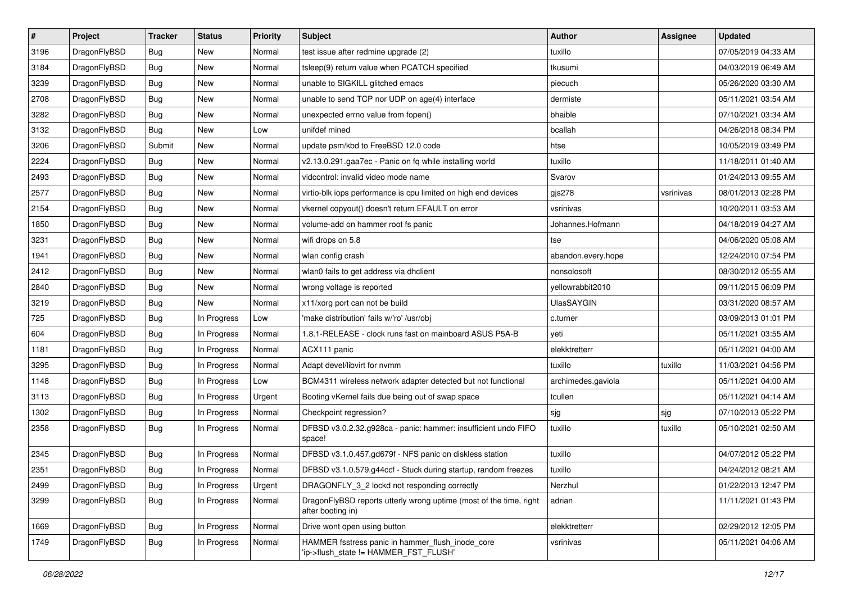| $\sharp$ | Project      | <b>Tracker</b> | <b>Status</b> | <b>Priority</b> | Subject                                                                                   | Author             | <b>Assignee</b> | <b>Updated</b>      |
|----------|--------------|----------------|---------------|-----------------|-------------------------------------------------------------------------------------------|--------------------|-----------------|---------------------|
| 3196     | DragonFlyBSD | Bug            | New           | Normal          | test issue after redmine upgrade (2)                                                      | tuxillo            |                 | 07/05/2019 04:33 AM |
| 3184     | DragonFlyBSD | Bug            | <b>New</b>    | Normal          | tsleep(9) return value when PCATCH specified                                              | tkusumi            |                 | 04/03/2019 06:49 AM |
| 3239     | DragonFlyBSD | <b>Bug</b>     | New           | Normal          | unable to SIGKILL glitched emacs                                                          | piecuch            |                 | 05/26/2020 03:30 AM |
| 2708     | DragonFlyBSD | Bug            | <b>New</b>    | Normal          | unable to send TCP nor UDP on age(4) interface                                            | dermiste           |                 | 05/11/2021 03:54 AM |
| 3282     | DragonFlyBSD | Bug            | <b>New</b>    | Normal          | unexpected errno value from fopen()                                                       | bhaible            |                 | 07/10/2021 03:34 AM |
| 3132     | DragonFlyBSD | Bug            | <b>New</b>    | Low             | unifdef mined                                                                             | bcallah            |                 | 04/26/2018 08:34 PM |
| 3206     | DragonFlyBSD | Submit         | New           | Normal          | update psm/kbd to FreeBSD 12.0 code                                                       | htse               |                 | 10/05/2019 03:49 PM |
| 2224     | DragonFlyBSD | Bug            | New           | Normal          | v2.13.0.291.gaa7ec - Panic on fq while installing world                                   | tuxillo            |                 | 11/18/2011 01:40 AM |
| 2493     | DragonFlyBSD | <b>Bug</b>     | <b>New</b>    | Normal          | vidcontrol: invalid video mode name                                                       | Svarov             |                 | 01/24/2013 09:55 AM |
| 2577     | DragonFlyBSD | Bug            | <b>New</b>    | Normal          | virtio-blk iops performance is cpu limited on high end devices                            | gjs278             | vsrinivas       | 08/01/2013 02:28 PM |
| 2154     | DragonFlyBSD | Bug            | New           | Normal          | vkernel copyout() doesn't return EFAULT on error                                          | vsrinivas          |                 | 10/20/2011 03:53 AM |
| 1850     | DragonFlyBSD | Bug            | <b>New</b>    | Normal          | volume-add on hammer root fs panic                                                        | Johannes.Hofmann   |                 | 04/18/2019 04:27 AM |
| 3231     | DragonFlyBSD | Bug            | New           | Normal          | wifi drops on 5.8                                                                         | tse                |                 | 04/06/2020 05:08 AM |
| 1941     | DragonFlyBSD | Bug            | New           | Normal          | wlan config crash                                                                         | abandon.every.hope |                 | 12/24/2010 07:54 PM |
| 2412     | DragonFlyBSD | <b>Bug</b>     | <b>New</b>    | Normal          | wlan0 fails to get address via dhclient                                                   | nonsolosoft        |                 | 08/30/2012 05:55 AM |
| 2840     | DragonFlyBSD | <b>Bug</b>     | New           | Normal          | wrong voltage is reported                                                                 | yellowrabbit2010   |                 | 09/11/2015 06:09 PM |
| 3219     | DragonFlyBSD | Bug            | <b>New</b>    | Normal          | x11/xorg port can not be build                                                            | <b>UlasSAYGIN</b>  |                 | 03/31/2020 08:57 AM |
| 725      | DragonFlyBSD | <b>Bug</b>     | In Progress   | Low             | 'make distribution' fails w/'ro' /usr/obj                                                 | c.turner           |                 | 03/09/2013 01:01 PM |
| 604      | DragonFlyBSD | <b>Bug</b>     | In Progress   | Normal          | 1.8.1-RELEASE - clock runs fast on mainboard ASUS P5A-B                                   | yeti               |                 | 05/11/2021 03:55 AM |
| 1181     | DragonFlyBSD | <b>Bug</b>     | In Progress   | Normal          | ACX111 panic                                                                              | elekktretterr      |                 | 05/11/2021 04:00 AM |
| 3295     | DragonFlyBSD | <b>Bug</b>     | In Progress   | Normal          | Adapt devel/libvirt for nvmm                                                              | tuxillo            | tuxillo         | 11/03/2021 04:56 PM |
| 1148     | DragonFlyBSD | <b>Bug</b>     | In Progress   | Low             | BCM4311 wireless network adapter detected but not functional                              | archimedes.gaviola |                 | 05/11/2021 04:00 AM |
| 3113     | DragonFlyBSD | <b>Bug</b>     | In Progress   | Urgent          | Booting vKernel fails due being out of swap space                                         | tcullen            |                 | 05/11/2021 04:14 AM |
| 1302     | DragonFlyBSD | <b>Bug</b>     | In Progress   | Normal          | Checkpoint regression?                                                                    | sjg                | sjg             | 07/10/2013 05:22 PM |
| 2358     | DragonFlyBSD | <b>Bug</b>     | In Progress   | Normal          | DFBSD v3.0.2.32.g928ca - panic: hammer: insufficient undo FIFO<br>space!                  | tuxillo            | tuxillo         | 05/10/2021 02:50 AM |
| 2345     | DragonFlyBSD | <b>Bug</b>     | In Progress   | Normal          | DFBSD v3.1.0.457.gd679f - NFS panic on diskless station                                   | tuxillo            |                 | 04/07/2012 05:22 PM |
| 2351     | DragonFlyBSD | <b>Bug</b>     | In Progress   | Normal          | DFBSD v3.1.0.579.g44ccf - Stuck during startup, random freezes                            | tuxillo            |                 | 04/24/2012 08:21 AM |
| 2499     | DragonFlyBSD | Bug            | In Progress   | Urgent          | DRAGONFLY_3_2 lockd not responding correctly                                              | Nerzhul            |                 | 01/22/2013 12:47 PM |
| 3299     | DragonFlyBSD | <b>Bug</b>     | In Progress   | Normal          | DragonFlyBSD reports utterly wrong uptime (most of the time, right<br>after booting in)   | adrian             |                 | 11/11/2021 01:43 PM |
| 1669     | DragonFlyBSD | <b>Bug</b>     | In Progress   | Normal          | Drive wont open using button                                                              | elekktretterr      |                 | 02/29/2012 12:05 PM |
| 1749     | DragonFlyBSD | <b>Bug</b>     | In Progress   | Normal          | HAMMER fsstress panic in hammer_flush_inode_core<br>'ip->flush_state != HAMMER_FST_FLUSH' | vsrinivas          |                 | 05/11/2021 04:06 AM |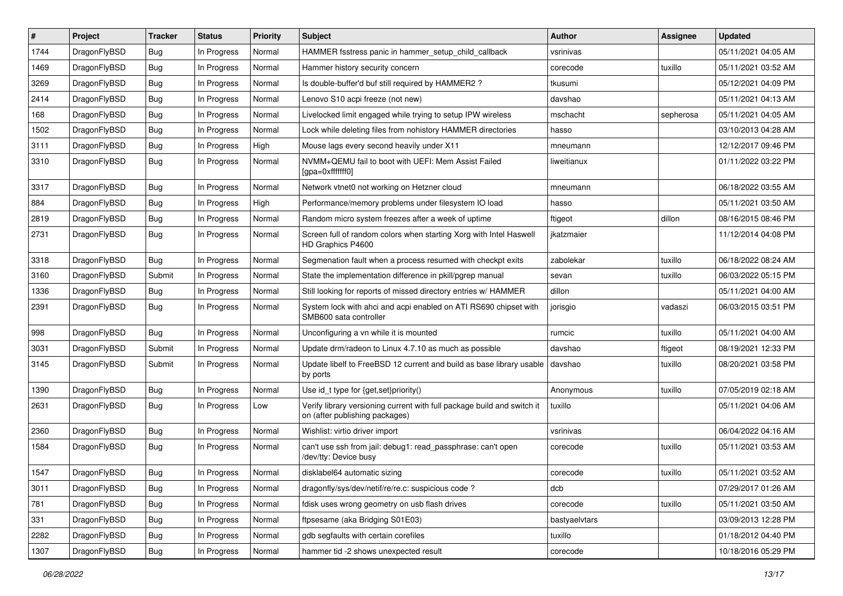| #    | Project      | <b>Tracker</b> | <b>Status</b> | <b>Priority</b> | Subject                                                                                                   | Author        | Assignee  | <b>Updated</b>      |
|------|--------------|----------------|---------------|-----------------|-----------------------------------------------------------------------------------------------------------|---------------|-----------|---------------------|
| 1744 | DragonFlyBSD | <b>Bug</b>     | In Progress   | Normal          | HAMMER fsstress panic in hammer_setup_child_callback                                                      | vsrinivas     |           | 05/11/2021 04:05 AM |
| 1469 | DragonFlyBSD | <b>Bug</b>     | In Progress   | Normal          | Hammer history security concern                                                                           | corecode      | tuxillo   | 05/11/2021 03:52 AM |
| 3269 | DragonFlyBSD | Bug            | In Progress   | Normal          | Is double-buffer'd buf still required by HAMMER2 ?                                                        | tkusumi       |           | 05/12/2021 04:09 PM |
| 2414 | DragonFlyBSD | <b>Bug</b>     | In Progress   | Normal          | Lenovo S10 acpi freeze (not new)                                                                          | davshao       |           | 05/11/2021 04:13 AM |
| 168  | DragonFlyBSD | <b>Bug</b>     | In Progress   | Normal          | Livelocked limit engaged while trying to setup IPW wireless                                               | mschacht      | sepherosa | 05/11/2021 04:05 AM |
| 1502 | DragonFlyBSD | <b>Bug</b>     | In Progress   | Normal          | Lock while deleting files from nohistory HAMMER directories                                               | hasso         |           | 03/10/2013 04:28 AM |
| 3111 | DragonFlyBSD | <b>Bug</b>     | In Progress   | High            | Mouse lags every second heavily under X11                                                                 | mneumann      |           | 12/12/2017 09:46 PM |
| 3310 | DragonFlyBSD | <b>Bug</b>     | In Progress   | Normal          | NVMM+QEMU fail to boot with UEFI: Mem Assist Failed<br>[gpa=0xfffffff0]                                   | liweitianux   |           | 01/11/2022 03:22 PM |
| 3317 | DragonFlyBSD | <b>Bug</b>     | In Progress   | Normal          | Network vtnet0 not working on Hetzner cloud                                                               | mneumann      |           | 06/18/2022 03:55 AM |
| 884  | DragonFlyBSD | <b>Bug</b>     | In Progress   | High            | Performance/memory problems under filesystem IO load                                                      | hasso         |           | 05/11/2021 03:50 AM |
| 2819 | DragonFlyBSD | <b>Bug</b>     | In Progress   | Normal          | Random micro system freezes after a week of uptime                                                        | ftigeot       | dillon    | 08/16/2015 08:46 PM |
| 2731 | DragonFlyBSD | <b>Bug</b>     | In Progress   | Normal          | Screen full of random colors when starting Xorg with Intel Haswell<br>HD Graphics P4600                   | jkatzmaier    |           | 11/12/2014 04:08 PM |
| 3318 | DragonFlyBSD | <b>Bug</b>     | In Progress   | Normal          | Segmenation fault when a process resumed with checkpt exits                                               | zabolekar     | tuxillo   | 06/18/2022 08:24 AM |
| 3160 | DragonFlyBSD | Submit         | In Progress   | Normal          | State the implementation difference in pkill/pgrep manual                                                 | sevan         | tuxillo   | 06/03/2022 05:15 PM |
| 1336 | DragonFlyBSD | Bug            | In Progress   | Normal          | Still looking for reports of missed directory entries w/ HAMMER                                           | dillon        |           | 05/11/2021 04:00 AM |
| 2391 | DragonFlyBSD | Bug            | In Progress   | Normal          | System lock with ahci and acpi enabled on ATI RS690 chipset with<br>SMB600 sata controller                | jorisgio      | vadaszi   | 06/03/2015 03:51 PM |
| 998  | DragonFlyBSD | Bug            | In Progress   | Normal          | Unconfiguring a vn while it is mounted                                                                    | rumcic        | tuxillo   | 05/11/2021 04:00 AM |
| 3031 | DragonFlyBSD | Submit         | In Progress   | Normal          | Update drm/radeon to Linux 4.7.10 as much as possible                                                     | davshao       | ftigeot   | 08/19/2021 12:33 PM |
| 3145 | DragonFlyBSD | Submit         | In Progress   | Normal          | Update libelf to FreeBSD 12 current and build as base library usable<br>by ports                          | davshao       | tuxillo   | 08/20/2021 03:58 PM |
| 1390 | DragonFlyBSD | Bug            | In Progress   | Normal          | Use id t type for $\{get, set\}$ priority $()$                                                            | Anonymous     | tuxillo   | 07/05/2019 02:18 AM |
| 2631 | DragonFlyBSD | Bug            | In Progress   | Low             | Verify library versioning current with full package build and switch it<br>on (after publishing packages) | tuxillo       |           | 05/11/2021 04:06 AM |
| 2360 | DragonFlyBSD | Bug            | In Progress   | Normal          | Wishlist: virtio driver import                                                                            | vsrinivas     |           | 06/04/2022 04:16 AM |
| 1584 | DragonFlyBSD | Bug            | In Progress   | Normal          | can't use ssh from jail: debug1: read_passphrase: can't open<br>/dev/tty: Device busy                     | corecode      | tuxillo   | 05/11/2021 03:53 AM |
| 1547 | DragonFlyBSD | Bug            | In Progress   | Normal          | disklabel64 automatic sizing                                                                              | corecode      | tuxillo   | 05/11/2021 03:52 AM |
| 3011 | DragonFlyBSD | Bug            | In Progress   | Normal          | dragonfly/sys/dev/netif/re/re.c: suspicious code ?                                                        | dcb           |           | 07/29/2017 01:26 AM |
| 781  | DragonFlyBSD | Bug            | In Progress   | Normal          | fdisk uses wrong geometry on usb flash drives                                                             | corecode      | tuxillo   | 05/11/2021 03:50 AM |
| 331  | DragonFlyBSD | <b>Bug</b>     | In Progress   | Normal          | ftpsesame (aka Bridging S01E03)                                                                           | bastyaelvtars |           | 03/09/2013 12:28 PM |
| 2282 | DragonFlyBSD | <b>Bug</b>     | In Progress   | Normal          | gdb segfaults with certain corefiles                                                                      | tuxillo       |           | 01/18/2012 04:40 PM |
| 1307 | DragonFlyBSD | <b>Bug</b>     | In Progress   | Normal          | hammer tid -2 shows unexpected result                                                                     | corecode      |           | 10/18/2016 05:29 PM |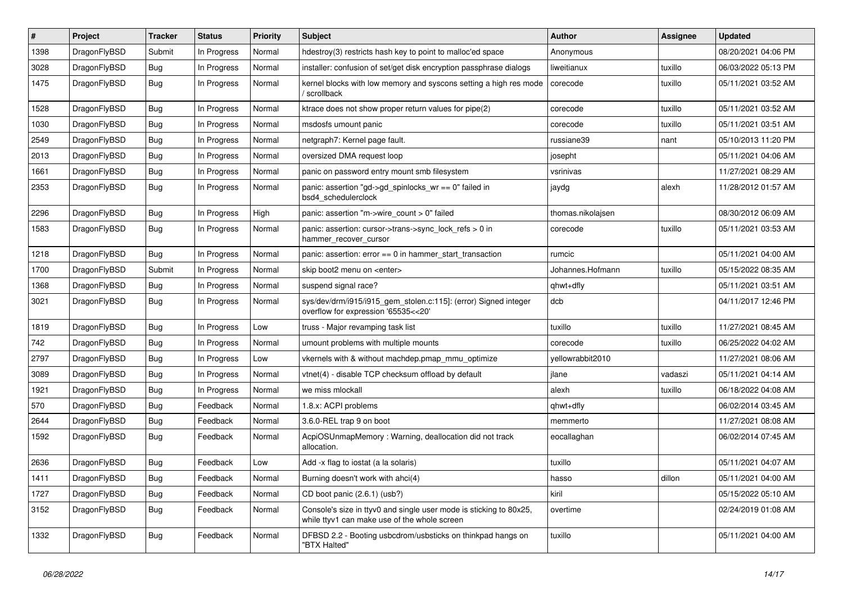| $\sharp$ | Project      | <b>Tracker</b> | <b>Status</b> | <b>Priority</b> | Subject                                                                                                            | Author            | Assignee | <b>Updated</b>      |
|----------|--------------|----------------|---------------|-----------------|--------------------------------------------------------------------------------------------------------------------|-------------------|----------|---------------------|
| 1398     | DragonFlyBSD | Submit         | In Progress   | Normal          | hdestroy(3) restricts hash key to point to malloc'ed space                                                         | Anonymous         |          | 08/20/2021 04:06 PM |
| 3028     | DragonFlyBSD | Bug            | In Progress   | Normal          | installer: confusion of set/get disk encryption passphrase dialogs                                                 | liweitianux       | tuxillo  | 06/03/2022 05:13 PM |
| 1475     | DragonFlyBSD | <b>Bug</b>     | In Progress   | Normal          | kernel blocks with low memory and syscons setting a high res mode<br>/ scrollback                                  | corecode          | tuxillo  | 05/11/2021 03:52 AM |
| 1528     | DragonFlyBSD | Bug            | In Progress   | Normal          | ktrace does not show proper return values for pipe(2)                                                              | corecode          | tuxillo  | 05/11/2021 03:52 AM |
| 1030     | DragonFlyBSD | Bug            | In Progress   | Normal          | msdosfs umount panic                                                                                               | corecode          | tuxillo  | 05/11/2021 03:51 AM |
| 2549     | DragonFlyBSD | Bug            | In Progress   | Normal          | netgraph7: Kernel page fault.                                                                                      | russiane39        | nant     | 05/10/2013 11:20 PM |
| 2013     | DragonFlyBSD | Bug            | In Progress   | Normal          | oversized DMA request loop                                                                                         | josepht           |          | 05/11/2021 04:06 AM |
| 1661     | DragonFlyBSD | Bug            | In Progress   | Normal          | panic on password entry mount smb filesystem                                                                       | vsrinivas         |          | 11/27/2021 08:29 AM |
| 2353     | DragonFlyBSD | <b>Bug</b>     | In Progress   | Normal          | panic: assertion "gd->gd_spinlocks_wr == 0" failed in<br>bsd4 schedulerclock                                       | jaydg             | alexh    | 11/28/2012 01:57 AM |
| 2296     | DragonFlyBSD | <b>Bug</b>     | In Progress   | High            | panic: assertion "m->wire_count > 0" failed                                                                        | thomas.nikolajsen |          | 08/30/2012 06:09 AM |
| 1583     | DragonFlyBSD | Bug            | In Progress   | Normal          | panic: assertion: cursor->trans->sync_lock_refs > 0 in<br>hammer recover cursor                                    | corecode          | tuxillo  | 05/11/2021 03:53 AM |
| 1218     | DragonFlyBSD | Bug            | In Progress   | Normal          | panic: assertion: $error == 0$ in hammer start transaction                                                         | rumcic            |          | 05/11/2021 04:00 AM |
| 1700     | DragonFlyBSD | Submit         | In Progress   | Normal          | skip boot2 menu on <enter></enter>                                                                                 | Johannes.Hofmann  | tuxillo  | 05/15/2022 08:35 AM |
| 1368     | DragonFlyBSD | <b>Bug</b>     | In Progress   | Normal          | suspend signal race?                                                                                               | qhwt+dfly         |          | 05/11/2021 03:51 AM |
| 3021     | DragonFlyBSD | Bug            | In Progress   | Normal          | sys/dev/drm/i915/i915_gem_stolen.c:115]: (error) Signed integer<br>overflow for expression '65535<<20'             | dcb               |          | 04/11/2017 12:46 PM |
| 1819     | DragonFlyBSD | Bug            | In Progress   | Low             | truss - Major revamping task list                                                                                  | tuxillo           | tuxillo  | 11/27/2021 08:45 AM |
| 742      | DragonFlyBSD | <b>Bug</b>     | In Progress   | Normal          | umount problems with multiple mounts                                                                               | corecode          | tuxillo  | 06/25/2022 04:02 AM |
| 2797     | DragonFlyBSD | <b>Bug</b>     | In Progress   | Low             | vkernels with & without machdep.pmap_mmu_optimize                                                                  | yellowrabbit2010  |          | 11/27/2021 08:06 AM |
| 3089     | DragonFlyBSD | <b>Bug</b>     | In Progress   | Normal          | vtnet(4) - disable TCP checksum offload by default                                                                 | jlane             | vadaszi  | 05/11/2021 04:14 AM |
| 1921     | DragonFlyBSD | <b>Bug</b>     | In Progress   | Normal          | we miss mlockall                                                                                                   | alexh             | tuxillo  | 06/18/2022 04:08 AM |
| 570      | DragonFlyBSD | <b>Bug</b>     | Feedback      | Normal          | 1.8.x: ACPI problems                                                                                               | qhwt+dfly         |          | 06/02/2014 03:45 AM |
| 2644     | DragonFlyBSD | Bug            | Feedback      | Normal          | 3.6.0-REL trap 9 on boot                                                                                           | memmerto          |          | 11/27/2021 08:08 AM |
| 1592     | DragonFlyBSD | <b>Bug</b>     | Feedback      | Normal          | AcpiOSUnmapMemory: Warning, deallocation did not track<br>allocation.                                              | eocallaghan       |          | 06/02/2014 07:45 AM |
| 2636     | DragonFlyBSD | Bug            | Feedback      | Low             | Add -x flag to iostat (a la solaris)                                                                               | tuxillo           |          | 05/11/2021 04:07 AM |
| 1411     | DragonFlyBSD | <b>Bug</b>     | Feedback      | Normal          | Burning doesn't work with ahci(4)                                                                                  | hasso             | dillon   | 05/11/2021 04:00 AM |
| 1727     | DragonFlyBSD | <b>Bug</b>     | Feedback      | Normal          | CD boot panic (2.6.1) (usb?)                                                                                       | kiril             |          | 05/15/2022 05:10 AM |
| 3152     | DragonFlyBSD | <b>Bug</b>     | Feedback      | Normal          | Console's size in ttyv0 and single user mode is sticking to 80x25,<br>while ttyv1 can make use of the whole screen | overtime          |          | 02/24/2019 01:08 AM |
| 1332     | DragonFlyBSD | Bug            | Feedback      | Normal          | DFBSD 2.2 - Booting usbcdrom/usbsticks on thinkpad hangs on<br>"BTX Halted"                                        | tuxillo           |          | 05/11/2021 04:00 AM |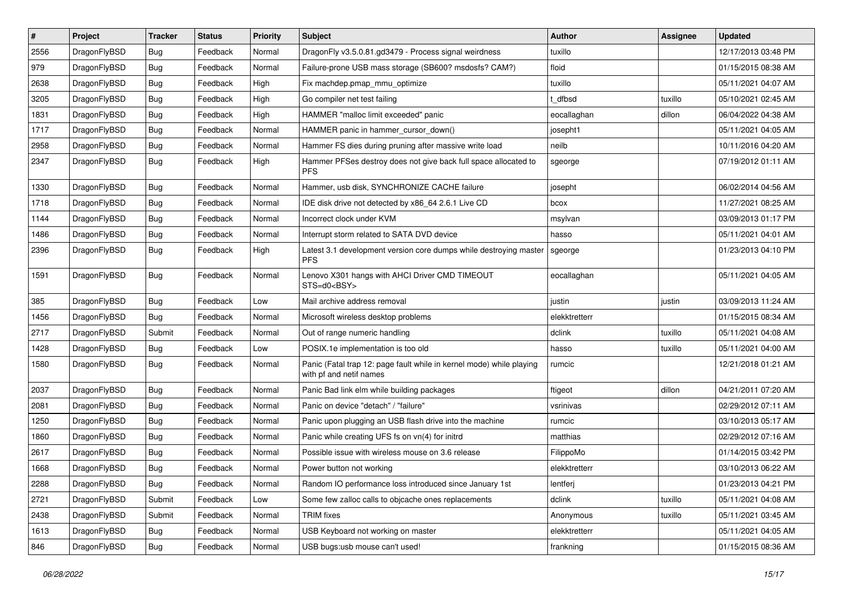| $\sharp$ | Project      | <b>Tracker</b> | <b>Status</b> | <b>Priority</b> | Subject                                                                                         | <b>Author</b> | Assignee | <b>Updated</b>      |
|----------|--------------|----------------|---------------|-----------------|-------------------------------------------------------------------------------------------------|---------------|----------|---------------------|
| 2556     | DragonFlyBSD | Bug            | Feedback      | Normal          | DragonFly v3.5.0.81.gd3479 - Process signal weirdness                                           | tuxillo       |          | 12/17/2013 03:48 PM |
| 979      | DragonFlyBSD | Bug            | Feedback      | Normal          | Failure-prone USB mass storage (SB600? msdosfs? CAM?)                                           | floid         |          | 01/15/2015 08:38 AM |
| 2638     | DragonFlyBSD | <b>Bug</b>     | Feedback      | High            | Fix machdep.pmap_mmu_optimize                                                                   | tuxillo       |          | 05/11/2021 04:07 AM |
| 3205     | DragonFlyBSD | <b>Bug</b>     | Feedback      | High            | Go compiler net test failing                                                                    | t dfbsd       | tuxillo  | 05/10/2021 02:45 AM |
| 1831     | DragonFlyBSD | Bug            | Feedback      | High            | HAMMER "malloc limit exceeded" panic                                                            | eocallaghan   | dillon   | 06/04/2022 04:38 AM |
| 1717     | DragonFlyBSD | Bug            | Feedback      | Normal          | HAMMER panic in hammer cursor down()                                                            | josepht1      |          | 05/11/2021 04:05 AM |
| 2958     | DragonFlyBSD | Bug            | Feedback      | Normal          | Hammer FS dies during pruning after massive write load                                          | neilb         |          | 10/11/2016 04:20 AM |
| 2347     | DragonFlyBSD | <b>Bug</b>     | Feedback      | High            | Hammer PFSes destroy does not give back full space allocated to<br><b>PFS</b>                   | sgeorge       |          | 07/19/2012 01:11 AM |
| 1330     | DragonFlyBSD | <b>Bug</b>     | Feedback      | Normal          | Hammer, usb disk, SYNCHRONIZE CACHE failure                                                     | josepht       |          | 06/02/2014 04:56 AM |
| 1718     | DragonFlyBSD | <b>Bug</b>     | Feedback      | Normal          | IDE disk drive not detected by x86 64 2.6.1 Live CD                                             | bcox          |          | 11/27/2021 08:25 AM |
| 1144     | DragonFlyBSD | <b>Bug</b>     | Feedback      | Normal          | Incorrect clock under KVM                                                                       | msylvan       |          | 03/09/2013 01:17 PM |
| 1486     | DragonFlyBSD | <b>Bug</b>     | Feedback      | Normal          | Interrupt storm related to SATA DVD device                                                      | hasso         |          | 05/11/2021 04:01 AM |
| 2396     | DragonFlyBSD | <b>Bug</b>     | Feedback      | High            | Latest 3.1 development version core dumps while destroying master<br><b>PFS</b>                 | sgeorge       |          | 01/23/2013 04:10 PM |
| 1591     | DragonFlyBSD | <b>Bug</b>     | Feedback      | Normal          | Lenovo X301 hangs with AHCI Driver CMD TIMEOUT<br>STS=d0 <bsy></bsy>                            | eocallaghan   |          | 05/11/2021 04:05 AM |
| 385      | DragonFlyBSD | Bug            | Feedback      | Low             | Mail archive address removal                                                                    | justin        | justin   | 03/09/2013 11:24 AM |
| 1456     | DragonFlyBSD | <b>Bug</b>     | Feedback      | Normal          | Microsoft wireless desktop problems                                                             | elekktretterr |          | 01/15/2015 08:34 AM |
| 2717     | DragonFlyBSD | Submit         | Feedback      | Normal          | Out of range numeric handling                                                                   | dclink        | tuxillo  | 05/11/2021 04:08 AM |
| 1428     | DragonFlyBSD | <b>Bug</b>     | Feedback      | Low             | POSIX.1e implementation is too old                                                              | hasso         | tuxillo  | 05/11/2021 04:00 AM |
| 1580     | DragonFlyBSD | <b>Bug</b>     | Feedback      | Normal          | Panic (Fatal trap 12: page fault while in kernel mode) while playing<br>with pf and netif names | rumcic        |          | 12/21/2018 01:21 AM |
| 2037     | DragonFlyBSD | Bug            | Feedback      | Normal          | Panic Bad link elm while building packages                                                      | ftigeot       | dillon   | 04/21/2011 07:20 AM |
| 2081     | DragonFlyBSD | <b>Bug</b>     | Feedback      | Normal          | Panic on device "detach" / "failure"                                                            | vsrinivas     |          | 02/29/2012 07:11 AM |
| 1250     | DragonFlyBSD | Bug            | Feedback      | Normal          | Panic upon plugging an USB flash drive into the machine                                         | rumcic        |          | 03/10/2013 05:17 AM |
| 1860     | DragonFlyBSD | <b>Bug</b>     | Feedback      | Normal          | Panic while creating UFS fs on vn(4) for initrd                                                 | matthias      |          | 02/29/2012 07:16 AM |
| 2617     | DragonFlyBSD | <b>Bug</b>     | Feedback      | Normal          | Possible issue with wireless mouse on 3.6 release                                               | FilippoMo     |          | 01/14/2015 03:42 PM |
| 1668     | DragonFlyBSD | Bug            | Feedback      | Normal          | Power button not working                                                                        | elekktretterr |          | 03/10/2013 06:22 AM |
| 2288     | DragonFlyBSD | <b>Bug</b>     | Feedback      | Normal          | Random IO performance loss introduced since January 1st                                         | lentferj      |          | 01/23/2013 04:21 PM |
| 2721     | DragonFlyBSD | Submit         | Feedback      | Low             | Some few zalloc calls to objcache ones replacements                                             | dclink        | tuxillo  | 05/11/2021 04:08 AM |
| 2438     | DragonFlyBSD | Submit         | Feedback      | Normal          | <b>TRIM</b> fixes                                                                               | Anonymous     | tuxillo  | 05/11/2021 03:45 AM |
| 1613     | DragonFlyBSD | <b>Bug</b>     | Feedback      | Normal          | USB Keyboard not working on master                                                              | elekktretterr |          | 05/11/2021 04:05 AM |
| 846      | DragonFlyBSD | <b>Bug</b>     | Feedback      | Normal          | USB bugs:usb mouse can't used!                                                                  | frankning     |          | 01/15/2015 08:36 AM |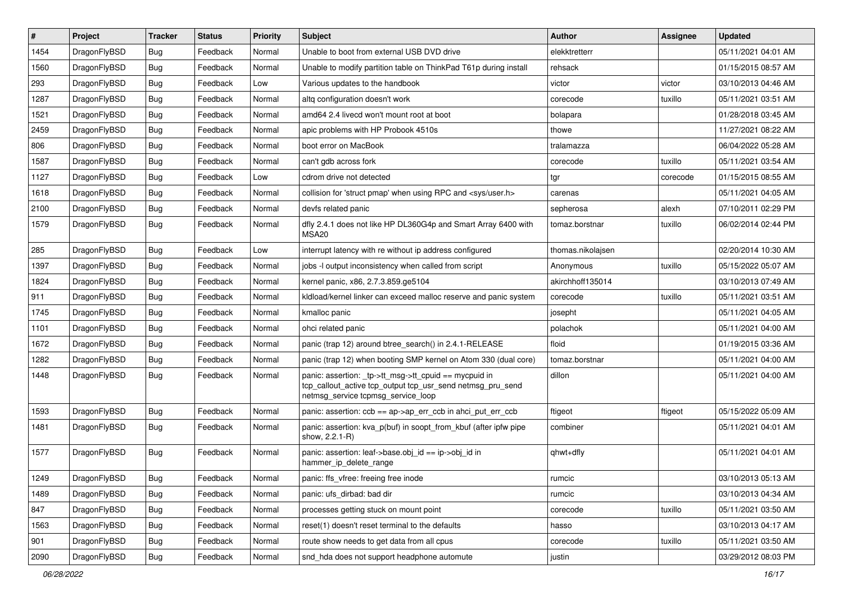| $\sharp$ | Project      | <b>Tracker</b> | <b>Status</b> | Priority | <b>Subject</b>                                                                                                                                            | <b>Author</b>     | Assignee | <b>Updated</b>      |
|----------|--------------|----------------|---------------|----------|-----------------------------------------------------------------------------------------------------------------------------------------------------------|-------------------|----------|---------------------|
| 1454     | DragonFlyBSD | Bug            | Feedback      | Normal   | Unable to boot from external USB DVD drive                                                                                                                | elekktretterr     |          | 05/11/2021 04:01 AM |
| 1560     | DragonFlyBSD | Bug            | Feedback      | Normal   | Unable to modify partition table on ThinkPad T61p during install                                                                                          | rehsack           |          | 01/15/2015 08:57 AM |
| 293      | DragonFlyBSD | Bug            | Feedback      | Low      | Various updates to the handbook                                                                                                                           | victor            | victor   | 03/10/2013 04:46 AM |
| 1287     | DragonFlyBSD | Bug            | Feedback      | Normal   | altg configuration doesn't work                                                                                                                           | corecode          | tuxillo  | 05/11/2021 03:51 AM |
| 1521     | DragonFlyBSD | Bug            | Feedback      | Normal   | amd64 2.4 livecd won't mount root at boot                                                                                                                 | bolapara          |          | 01/28/2018 03:45 AM |
| 2459     | DragonFlyBSD | Bug            | Feedback      | Normal   | apic problems with HP Probook 4510s                                                                                                                       | thowe             |          | 11/27/2021 08:22 AM |
| 806      | DragonFlyBSD | Bug            | Feedback      | Normal   | boot error on MacBook                                                                                                                                     | tralamazza        |          | 06/04/2022 05:28 AM |
| 1587     | DragonFlyBSD | Bug            | Feedback      | Normal   | can't gdb across fork                                                                                                                                     | corecode          | tuxillo  | 05/11/2021 03:54 AM |
| 1127     | DragonFlyBSD | Bug            | Feedback      | Low      | cdrom drive not detected                                                                                                                                  | tgr               | corecode | 01/15/2015 08:55 AM |
| 1618     | DragonFlyBSD | Bug            | Feedback      | Normal   | collision for 'struct pmap' when using RPC and <sys user.h=""></sys>                                                                                      | carenas           |          | 05/11/2021 04:05 AM |
| 2100     | DragonFlyBSD | Bug            | Feedback      | Normal   | devfs related panic                                                                                                                                       | sepherosa         | alexh    | 07/10/2011 02:29 PM |
| 1579     | DragonFlyBSD | Bug            | Feedback      | Normal   | dfly 2.4.1 does not like HP DL360G4p and Smart Array 6400 with<br>MSA <sub>20</sub>                                                                       | tomaz.borstnar    | tuxillo  | 06/02/2014 02:44 PM |
| 285      | DragonFlyBSD | Bug            | Feedback      | Low      | interrupt latency with re without ip address configured                                                                                                   | thomas.nikolajsen |          | 02/20/2014 10:30 AM |
| 1397     | DragonFlyBSD | Bug            | Feedback      | Normal   | jobs -I output inconsistency when called from script                                                                                                      | Anonymous         | tuxillo  | 05/15/2022 05:07 AM |
| 1824     | DragonFlyBSD | Bug            | Feedback      | Normal   | kernel panic, x86, 2.7.3.859.ge5104                                                                                                                       | akirchhoff135014  |          | 03/10/2013 07:49 AM |
| 911      | DragonFlyBSD | <b>Bug</b>     | Feedback      | Normal   | kldload/kernel linker can exceed malloc reserve and panic system                                                                                          | corecode          | tuxillo  | 05/11/2021 03:51 AM |
| 1745     | DragonFlyBSD | Bug            | Feedback      | Normal   | kmalloc panic                                                                                                                                             | josepht           |          | 05/11/2021 04:05 AM |
| 1101     | DragonFlyBSD | Bug            | Feedback      | Normal   | ohci related panic                                                                                                                                        | polachok          |          | 05/11/2021 04:00 AM |
| 1672     | DragonFlyBSD | Bug            | Feedback      | Normal   | panic (trap 12) around btree_search() in 2.4.1-RELEASE                                                                                                    | floid             |          | 01/19/2015 03:36 AM |
| 1282     | DragonFlyBSD | Bug            | Feedback      | Normal   | panic (trap 12) when booting SMP kernel on Atom 330 (dual core)                                                                                           | tomaz.borstnar    |          | 05/11/2021 04:00 AM |
| 1448     | DragonFlyBSD | Bug            | Feedback      | Normal   | panic: assertion: _tp->tt_msg->tt_cpuid == mycpuid in<br>tcp_callout_active tcp_output tcp_usr_send netmsg_pru_send<br>netmsg_service tcpmsg_service_loop | dillon            |          | 05/11/2021 04:00 AM |
| 1593     | DragonFlyBSD | Bug            | Feedback      | Normal   | panic: assertion: ccb == ap->ap_err_ccb in ahci_put_err_ccb                                                                                               | ftigeot           | ftigeot  | 05/15/2022 05:09 AM |
| 1481     | DragonFlyBSD | Bug            | Feedback      | Normal   | panic: assertion: kva_p(buf) in soopt_from_kbuf (after ipfw pipe<br>show, 2.2.1-R)                                                                        | combiner          |          | 05/11/2021 04:01 AM |
| 1577     | DragonFlyBSD | Bug            | Feedback      | Normal   | panic: assertion: leaf->base.obj_id == ip->obj_id in<br>hammer_ip_delete_range                                                                            | qhwt+dfly         |          | 05/11/2021 04:01 AM |
| 1249     | DragonFlyBSD | <b>Bug</b>     | Feedback      | Normal   | panic: ffs_vfree: freeing free inode                                                                                                                      | rumcic            |          | 03/10/2013 05:13 AM |
| 1489     | DragonFlyBSD | Bug            | Feedback      | Normal   | panic: ufs_dirbad: bad dir                                                                                                                                | rumcic            |          | 03/10/2013 04:34 AM |
| 847      | DragonFlyBSD | <b>Bug</b>     | Feedback      | Normal   | processes getting stuck on mount point                                                                                                                    | corecode          | tuxillo  | 05/11/2021 03:50 AM |
| 1563     | DragonFlyBSD | <b>Bug</b>     | Feedback      | Normal   | reset(1) doesn't reset terminal to the defaults                                                                                                           | hasso             |          | 03/10/2013 04:17 AM |
| 901      | DragonFlyBSD | <b>Bug</b>     | Feedback      | Normal   | route show needs to get data from all cpus                                                                                                                | corecode          | tuxillo  | 05/11/2021 03:50 AM |
| 2090     | DragonFlyBSD | Bug            | Feedback      | Normal   | snd_hda does not support headphone automute                                                                                                               | justin            |          | 03/29/2012 08:03 PM |